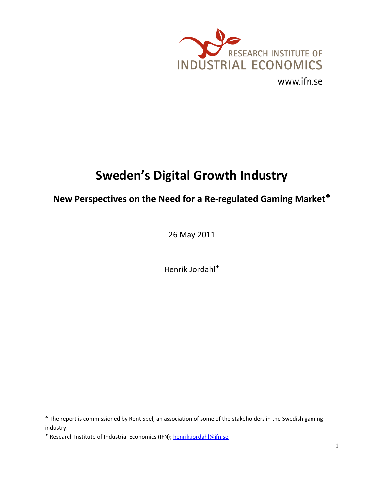

# **Sweden's Digital Growth Industry**

# **New Perspectives on the Need for a Re-regulated Gaming Market**

26 May 2011

Henrik Jordahl

l

<sup>\*</sup> The report is commissioned by Rent Spel, an association of some of the stakeholders in the Swedish gaming industry.

<sup>\*</sup> Research Institute of Industrial Economics (IFN)[; henrik.jordahl@ifn.se](mailto:henrik.jordahl@ifn.se)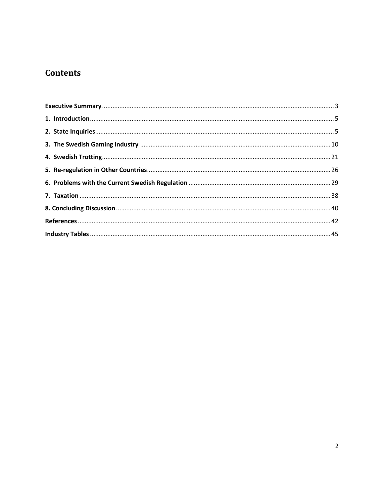# **Contents**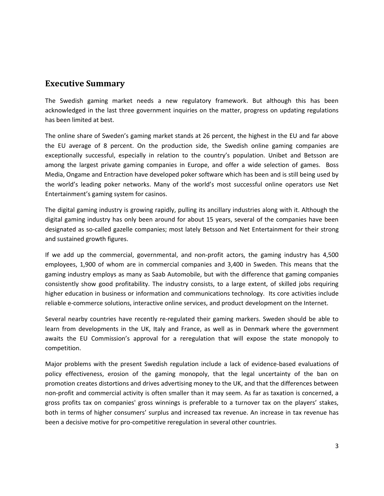### <span id="page-2-0"></span>**Executive Summary**

The Swedish gaming market needs a new regulatory framework. But although this has been acknowledged in the last three government inquiries on the matter, progress on updating regulations has been limited at best.

The online share of Sweden's gaming market stands at 26 percent, the highest in the EU and far above the EU average of 8 percent. On the production side, the Swedish online gaming companies are exceptionally successful, especially in relation to the country's population. Unibet and Betsson are among the largest private gaming companies in Europe, and offer a wide selection of games. Boss Media, Ongame and Entraction have developed poker software which has been and is still being used by the world's leading poker networks. Many of the world's most successful online operators use Net Entertainment's gaming system for casinos.

The digital gaming industry is growing rapidly, pulling its ancillary industries along with it. Although the digital gaming industry has only been around for about 15 years, several of the companies have been designated as so-called gazelle companies; most lately Betsson and Net Entertainment for their strong and sustained growth figures.

If we add up the commercial, governmental, and non-profit actors, the gaming industry has 4,500 employees, 1,900 of whom are in commercial companies and 3,400 in Sweden. This means that the gaming industry employs as many as Saab Automobile, but with the difference that gaming companies consistently show good profitability. The industry consists, to a large extent, of skilled jobs requiring higher education in business or information and communications technology. Its core activities include reliable e-commerce solutions, interactive online services, and product development on the Internet.

Several nearby countries have recently re-regulated their gaming markers. Sweden should be able to learn from developments in the UK, Italy and France, as well as in Denmark where the government awaits the EU Commission's approval for a reregulation that will expose the state monopoly to competition.

Major problems with the present Swedish regulation include a lack of evidence-based evaluations of policy effectiveness, erosion of the gaming monopoly, that the legal uncertainty of the ban on promotion creates distortions and drives advertising money to the UK, and that the differences between non-profit and commercial activity is often smaller than it may seem. As far as taxation is concerned, a gross profits tax on companies' gross winnings is preferable to a turnover tax on the players' stakes, both in terms of higher consumers' surplus and increased tax revenue. An increase in tax revenue has been a decisive motive for pro-competitive reregulation in several other countries.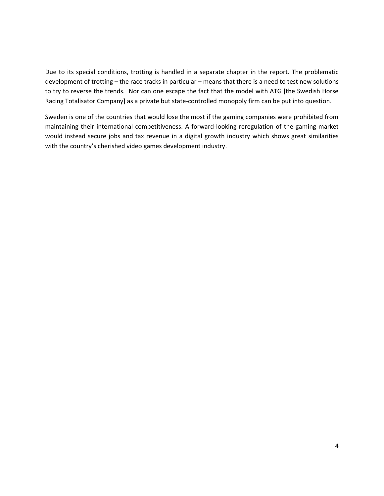Due to its special conditions, trotting is handled in a separate chapter in the report. The problematic development of trotting – the race tracks in particular – means that there is a need to test new solutions to try to reverse the trends. Nor can one escape the fact that the model with ATG [the Swedish Horse Racing Totalisator Company] as a private but state-controlled monopoly firm can be put into question.

Sweden is one of the countries that would lose the most if the gaming companies were prohibited from maintaining their international competitiveness. A forward-looking reregulation of the gaming market would instead secure jobs and tax revenue in a digital growth industry which shows great similarities with the country's cherished video games development industry.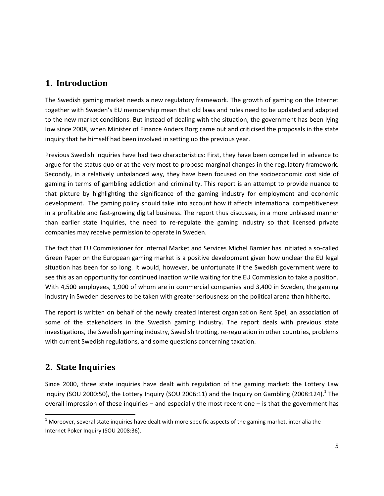# <span id="page-4-0"></span>**1. Introduction**

The Swedish gaming market needs a new regulatory framework. The growth of gaming on the Internet together with Sweden's EU membership mean that old laws and rules need to be updated and adapted to the new market conditions. But instead of dealing with the situation, the government has been lying low since 2008, when Minister of Finance Anders Borg came out and criticised the proposals in the state inquiry that he himself had been involved in setting up the previous year.

Previous Swedish inquiries have had two characteristics: First, they have been compelled in advance to argue for the status quo or at the very most to propose marginal changes in the regulatory framework. Secondly, in a relatively unbalanced way, they have been focused on the socioeconomic cost side of gaming in terms of gambling addiction and criminality. This report is an attempt to provide nuance to that picture by highlighting the significance of the gaming industry for employment and economic development. The gaming policy should take into account how it affects international competitiveness in a profitable and fast-growing digital business. The report thus discusses, in a more unbiased manner than earlier state inquiries, the need to re-regulate the gaming industry so that licensed private companies may receive permission to operate in Sweden.

The fact that EU Commissioner for Internal Market and Services Michel Barnier has initiated a so-called Green Paper on the European gaming market is a positive development given how unclear the EU legal situation has been for so long. It would, however, be unfortunate if the Swedish government were to see this as an opportunity for continued inaction while waiting for the EU Commission to take a position. With 4,500 employees, 1,900 of whom are in commercial companies and 3,400 in Sweden, the gaming industry in Sweden deserves to be taken with greater seriousness on the political arena than hitherto.

The report is written on behalf of the newly created interest organisation Rent Spel, an association of some of the stakeholders in the Swedish gaming industry. The report deals with previous state investigations, the Swedish gaming industry, Swedish trotting, re-regulation in other countries, problems with current Swedish regulations, and some questions concerning taxation.

# <span id="page-4-1"></span>**2. State Inquiries**

 $\overline{a}$ 

Since 2000, three state inquiries have dealt with regulation of the gaming market: the Lottery Law Inquiry (SOU 2000:50), the Lottery Inquiry (SOU 2006:11) and the Inquiry on Gambling (2008:124).<sup>1</sup> The overall impression of these inquiries  $-$  and especially the most recent one  $-$  is that the government has

 $1$  Moreover, several state inquiries have dealt with more specific aspects of the gaming market, inter alia the Internet Poker Inquiry (SOU 2008:36).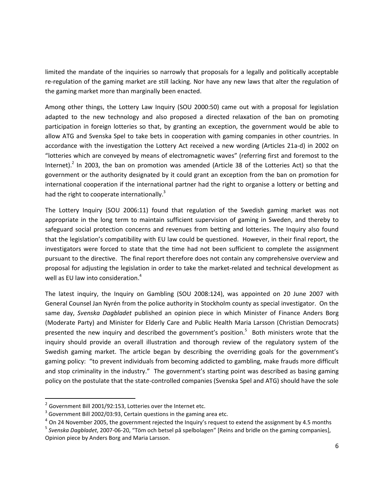limited the mandate of the inquiries so narrowly that proposals for a legally and politically acceptable re-regulation of the gaming market are still lacking. Nor have any new laws that alter the regulation of the gaming market more than marginally been enacted.

Among other things, the Lottery Law Inquiry (SOU 2000:50) came out with a proposal for legislation adapted to the new technology and also proposed a directed relaxation of the ban on promoting participation in foreign lotteries so that, by granting an exception, the government would be able to allow ATG and Svenska Spel to take bets in cooperation with gaming companies in other countries. In accordance with the investigation the Lottery Act received a new wording (Articles 21a-d) in 2002 on "lotteries which are conveyed by means of electromagnetic waves" (referring first and foremost to the Internet).<sup>2</sup> In 2003, the ban on promotion was amended (Article 38 of the Lotteries Act) so that the government or the authority designated by it could grant an exception from the ban on promotion for international cooperation if the international partner had the right to organise a lottery or betting and had the right to cooperate internationally.<sup>3</sup>

The Lottery Inquiry (SOU 2006:11) found that regulation of the Swedish gaming market was not appropriate in the long term to maintain sufficient supervision of gaming in Sweden, and thereby to safeguard social protection concerns and revenues from betting and lotteries. The Inquiry also found that the legislation's compatibility with EU law could be questioned. However, in their final report, the investigators were forced to state that the time had not been sufficient to complete the assignment pursuant to the directive. The final report therefore does not contain any comprehensive overview and proposal for adjusting the legislation in order to take the market-related and technical development as well as EU law into consideration.<sup>4</sup>

The latest inquiry, the Inquiry on Gambling (SOU 2008:124), was appointed on 20 June 2007 with General Counsel Jan Nyrén from the police authority in Stockholm county as special investigator. On the same day, *Svenska Dagbladet* published an opinion piece in which Minister of Finance Anders Borg (Moderate Party) and Minister for Elderly Care and Public Health Maria Larsson (Christian Democrats) presented the new inquiry and described the government's position.<sup>5</sup> Both ministers wrote that the inquiry should provide an overall illustration and thorough review of the regulatory system of the Swedish gaming market. The article began by describing the overriding goals for the government's gaming policy: "to prevent individuals from becoming addicted to gambling, make frauds more difficult and stop criminality in the industry." The government's starting point was described as basing gaming policy on the postulate that the state-controlled companies (Svenska Spel and ATG) should have the sole

l

 $^2$  Government Bill 2001/92:153, Lotteries over the Internet etc.

 $3$  Government Bill 2002/03:93, Certain questions in the gaming area etc.

 $^{4}$  On 24 November 2005, the government rejected the Inquiry's request to extend the assignment by 4.5 months

<sup>5</sup> *Svenska Dagbladet*, 2007-06-20, "Töm och betsel på spelbolagen" [Reins and bridle on the gaming companies], Opinion piece by Anders Borg and Maria Larsson.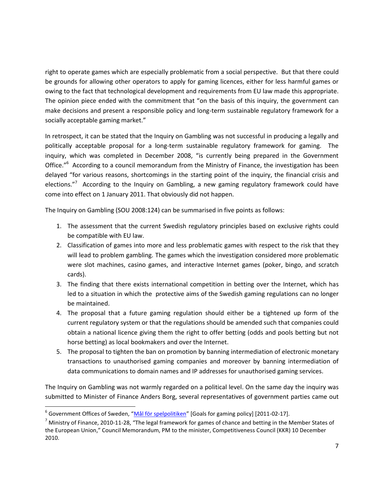right to operate games which are especially problematic from a social perspective. But that there could be grounds for allowing other operators to apply for gaming licences, either for less harmful games or owing to the fact that technological development and requirements from EU law made this appropriate. The opinion piece ended with the commitment that "on the basis of this inquiry, the government can make decisions and present a responsible policy and long-term sustainable regulatory framework for a socially acceptable gaming market."

In retrospect, it can be stated that the Inquiry on Gambling was not successful in producing a legally and politically acceptable proposal for a long-term sustainable regulatory framework for gaming. The inquiry, which was completed in December 2008, "is currently being prepared in the Government Office."<sup>6</sup> According to a council memorandum from the Ministry of Finance, the investigation has been delayed "for various reasons, shortcomings in the starting point of the inquiry, the financial crisis and elections."<sup>7</sup> According to the Inquiry on Gambling, a new gaming regulatory framework could have come into effect on 1 January 2011. That obviously did not happen.

The Inquiry on Gambling (SOU 2008:124) can be summarised in five points as follows:

- 1. The assessment that the current Swedish regulatory principles based on exclusive rights could be compatible with EU law.
- 2. Classification of games into more and less problematic games with respect to the risk that they will lead to problem gambling. The games which the investigation considered more problematic were slot machines, casino games, and interactive Internet games (poker, bingo, and scratch cards).
- 3. The finding that there exists international competition in betting over the Internet, which has led to a situation in which the protective aims of the Swedish gaming regulations can no longer be maintained.
- 4. The proposal that a future gaming regulation should either be a tightened up form of the current regulatory system or that the regulations should be amended such that companies could obtain a national licence giving them the right to offer betting (odds and pools betting but not horse betting) as local bookmakers and over the Internet.
- 5. The proposal to tighten the ban on promotion by banning intermediation of electronic monetary transactions to unauthorised gaming companies and moreover by banning intermediation of data communications to domain names and IP addresses for unauthorised gaming services.

The Inquiry on Gambling was not warmly regarded on a political level. On the same day the inquiry was submitted to Minister of Finance Anders Borg, several representatives of government parties came out

<sup>&</sup>lt;sup>6</sup> Government Offices of Sweden, "<u>[Mål för spelpolitiken](http://www.sweden.gov.se/sb/d/5820/a/48777)</u>" [Goals for gaming policy] [2011-02-17].

 $^7$  Ministry of Finance, 2010-11-28, "The legal framework for games of chance and betting in the Member States of the European Union," Council Memorandum, PM to the minister, Competitiveness Council (KKR) 10 December 2010.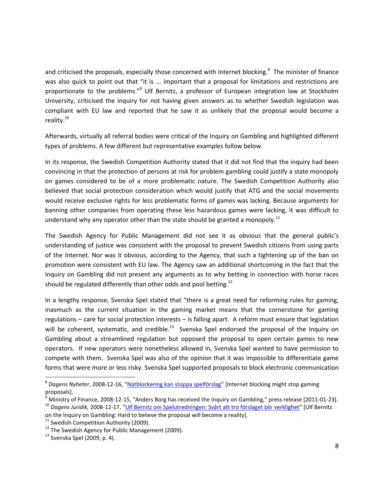and criticised the proposals, especially those concerned with Internet blocking.<sup>8</sup> The minister of finance was also quick to point out that "it is ... important that a proposal for limitations and restrictions are proportionate to the problems."<sup>9</sup> Ulf Bernitz, a professor of European integration law at Stockholm University, criticised the inquiry for not having given answers as to whether Swedish legislation was compliant with EU law and reported that he saw it as unlikely that the proposal would become a reality.<sup>10</sup>

Afterwards, virtually all referral bodies were critical of the Inquiry on Gambling and highlighted different types of problems. A few different but representative examples follow below.

In its response, the Swedish Competition Authority stated that it did not find that the inquiry had been convincing in that the protection of persons at risk for problem gambling could justify a state monopoly on games considered to be of a more problematic nature. The Swedish Competition Authority also believed that social protection consideration which would justify that ATG and the social movements would receive exclusive rights for less problematic forms of games was lacking. Because arguments for banning other companies from operating these less hazardous games were lacking, it was difficult to understand why any operator other than the state should be granted a monopoly.<sup>11</sup>

The Swedish Agency for Public Management did not see it as obvious that the general public's understanding of justice was consistent with the proposal to prevent Swedish citizens from using parts of the Internet. Nor was it obvious, according to the Agency, that such a tightening up of the ban on promotion were consistent with EU law. The Agency saw an additional shortcoming in the fact that the Inquiry on Gambling did not present any arguments as to why betting in connection with horse races should be regulated differently than other odds and pool betting.<sup>12</sup>

In a lengthy response, Svenska Spel stated that "there is a great need for reforming rules for gaming, inasmuch as the current situation in the gaming market means that the cornerstone for gaming regulations – care for social protection interests – is falling apart. A reform must ensure that legislation will be coherent, systematic, and credible.<sup>13</sup> Svenska Spel endorsed the proposal of the Inquiry on Gambling about a streamlined regulation but opposed the proposal to open certain games to new operators. If new operators were nonetheless allowed in, Svenska Spel wanted to have permission to compete with them. Svenska Spel was also of the opinion that it was impossible to differentiate game forms that were more or less risky. Svenska Spel supported proposals to block electronic communication

<sup>&</sup>lt;sup>8</sup> Dagens Nyheter, 2008-12-16, "<u>[Nätblockering kan stoppa spelförslag](http://www.dn.se/ekonomi/natblockering-kan-stoppa-spelforslag)</u>" [Internet blocking might stop gaming proposals].

 $^9$  Ministry of Finance, 2008-12-15, "Anders Borg has received the Inquiry on Gambling," press release [2011-01-23].

<sup>10</sup> *Dagens Juridik,* 2008-12-17, "[Ulf Bernitz om Spelutredningen: Svårt att tro förslaget blir verklighet](http://www.dagensjuridik.se/2008/12/ulf-bernitz-om-spelutredningen-svart-att-tro-forslaget-blir-verklighet)" [Ulf Bernitz on the Inquiry on Gambling: Hard to believe the proposal will become a reality].

 $11$  Swedish Competition Authority (2009).

 $12$  The Swedish Agency for Public Management (2009).

 $13$  Svenska Spel (2009, p. 4).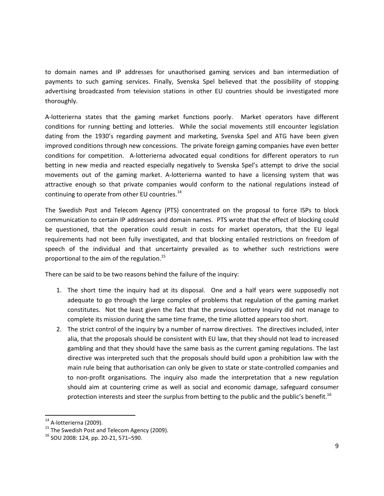to domain names and IP addresses for unauthorised gaming services and ban intermediation of payments to such gaming services. Finally, Svenska Spel believed that the possibility of stopping advertising broadcasted from television stations in other EU countries should be investigated more thoroughly.

A-lotterierna states that the gaming market functions poorly. Market operators have different conditions for running betting and lotteries. While the social movements still encounter legislation dating from the 1930's regarding payment and marketing, Svenska Spel and ATG have been given improved conditions through new concessions. The private foreign gaming companies have even better conditions for competition. A-lotterierna advocated equal conditions for different operators to run betting in new media and reacted especially negatively to Svenska Spel's attempt to drive the social movements out of the gaming market. A-lotterierna wanted to have a licensing system that was attractive enough so that private companies would conform to the national regulations instead of continuing to operate from other EU countries. $^{14}$ 

The Swedish Post and Telecom Agency (PTS) concentrated on the proposal to force ISPs to block communication to certain IP addresses and domain names. PTS wrote that the effect of blocking could be questioned, that the operation could result in costs for market operators, that the EU legal requirements had not been fully investigated, and that blocking entailed restrictions on freedom of speech of the individual and that uncertainty prevailed as to whether such restrictions were proportional to the aim of the regulation.<sup>15</sup>

There can be said to be two reasons behind the failure of the inquiry:

- 1. The short time the inquiry had at its disposal. One and a half years were supposedly not adequate to go through the large complex of problems that regulation of the gaming market constitutes. Not the least given the fact that the previous Lottery Inquiry did not manage to complete its mission during the same time frame, the time allotted appears too short.
- 2. The strict control of the inquiry by a number of narrow directives. The directives included, inter alia, that the proposals should be consistent with EU law, that they should not lead to increased gambling and that they should have the same basis as the current gaming regulations. The last directive was interpreted such that the proposals should build upon a prohibition law with the main rule being that authorisation can only be given to state or state-controlled companies and to non-profit organisations. The inquiry also made the interpretation that a new regulation should aim at countering crime as well as social and economic damage, safeguard consumer protection interests and steer the surplus from betting to the public and the public's benefit.<sup>16</sup>

 $14$  A-lotterierna (2009).

<sup>&</sup>lt;sup>15</sup> The Swedish Post and Telecom Agency (2009).

<sup>16</sup> SOU 2008: 124, pp. 20-21, 571–590.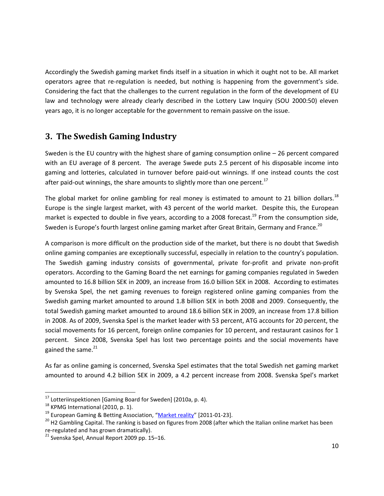Accordingly the Swedish gaming market finds itself in a situation in which it ought not to be. All market operators agree that re-regulation is needed, but nothing is happening from the government's side. Considering the fact that the challenges to the current regulation in the form of the development of EU law and technology were already clearly described in the Lottery Law Inquiry (SOU 2000:50) eleven years ago, it is no longer acceptable for the government to remain passive on the issue.

### <span id="page-9-0"></span>**3. The Swedish Gaming Industry**

Sweden is the EU country with the highest share of gaming consumption online – 26 percent compared with an EU average of 8 percent. The average Swede puts 2.5 percent of his disposable income into gaming and lotteries, calculated in turnover before paid-out winnings. If one instead counts the cost after paid-out winnings, the share amounts to slightly more than one percent.<sup>17</sup>

The global market for online gambling for real money is estimated to amount to 21 billion dollars.<sup>18</sup> Europe is the single largest market, with 43 percent of the world market. Despite this, the European market is expected to double in five years, according to a 2008 forecast.<sup>19</sup> From the consumption side, Sweden is Europe's fourth largest online gaming market after Great Britain, Germany and France.<sup>20</sup>

A comparison is more difficult on the production side of the market, but there is no doubt that Swedish online gaming companies are exceptionally successful, especially in relation to the country's population. The Swedish gaming industry consists of governmental, private for-profit and private non-profit operators. According to the Gaming Board the net earnings for gaming companies regulated in Sweden amounted to 16.8 billion SEK in 2009, an increase from 16.0 billion SEK in 2008. According to estimates by Svenska Spel, the net gaming revenues to foreign registered online gaming companies from the Swedish gaming market amounted to around 1.8 billion SEK in both 2008 and 2009. Consequently, the total Swedish gaming market amounted to around 18.6 billion SEK in 2009, an increase from 17.8 billion in 2008. As of 2009, Svenska Spel is the market leader with 53 percent, ATG accounts for 20 percent, the social movements for 16 percent, foreign online companies for 10 percent, and restaurant casinos for 1 percent. Since 2008, Svenska Spel has lost two percentage points and the social movements have gained the same.<sup>21</sup>

As far as online gaming is concerned, Svenska Spel estimates that the total Swedish net gaming market amounted to around 4.2 billion SEK in 2009, a 4.2 percent increase from 2008. Svenska Spel's market

l

 $17$  Lotteriinspektionen [Gaming Board for Sweden] (2010a, p. 4).

<sup>&</sup>lt;sup>18</sup> KPMG International (2010, p. 1).

<sup>&</sup>lt;sup>19</sup> European Gaming & Betting Association, "[Market reality](http://www.egba.eu/pdf/EGBA_FS_MarketReality.pdf)" [2011-01-23].

<sup>&</sup>lt;sup>20</sup> H2 Gambling Capital. The ranking is based on figures from 2008 (after which the Italian online market has been re-regulated and has grown dramatically).

 $21$  Svenska Spel, Annual Report 2009 pp. 15-16.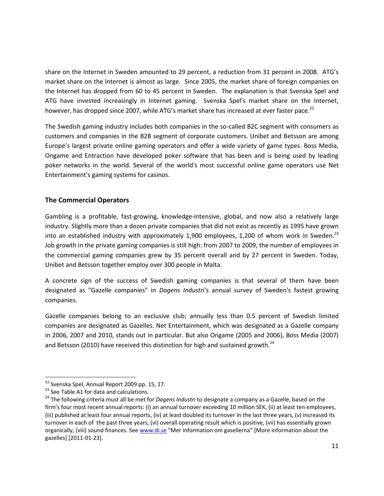share on the Internet in Sweden amounted to 29 percent, a reduction from 31 percent in 2008. ATG's market share on the Internet is almost as large. Since 2005, the market share of foreign companies on the Internet has dropped from 60 to 45 percent in Sweden. The explanation is that Svenska Spel and ATG have invested increasingly in Internet gaming. Svenska Spel's market share on the Internet, however, has dropped since 2007, while ATG's market share has increased at ever faster pace.<sup>22</sup>

The Swedish gaming industry includes both companies in the so-called B2C segment with consumers as customers and companies in the B2B segment of corporate customers. Unibet and Betsson are among Europe's largest private online gaming operators and offer a wide variety of game types. Boss Media, Ongame and Entraction have developed poker software that has been and is being used by leading poker networks in the world. Several of the world's most successful online game operators use Net Entertainment's gaming systems for casinos.

#### **The Commercial Operators**

Gambling is a profitable, fast-growing, knowledge-intensive, global, and now also a relatively large industry. Slightly more than a dozen private companies that did not exist as recently as 1995 have grown into an established industry with approximately 1,900 employees, 1,200 of whom work in Sweden.<sup>23</sup> Job growth in the private gaming companies is still high: from 2007 to 2009, the number of employees in the commercial gaming companies grew by 35 percent overall and by 27 percent in Sweden. Today, Unibet and Betsson together employ over 300 people in Malta.

A concrete sign of the success of Swedish gaming companies is that several of them have been designated as "Gazelle companies" in *Dagens Industri's* annual survey of Sweden's fastest growing companies.

Gazelle companies belong to an exclusive club; annually less than 0.5 percent of Swedish limited companies are designated as Gazelles. Net Entertainment, which was designated as a Gazelle company in 2006, 2007 and 2010, stands out in particular. But also Ongame (2005 and 2006), Boss Media (2007) and Betsson (2010) have received this distinction for high and sustained growth.<sup>24</sup>

<sup>&</sup>lt;sup>22</sup> Svenska Spel, Annual Report 2009 pp. 15, 17.

<sup>&</sup>lt;sup>23</sup> See Table A1 for data and calculations.

<sup>&</sup>lt;sup>24</sup> The following criteria must all be met for *Dagens Industri* to designate a company as a Gazelle, based on the firm's four most recent annual reports: (i) an annual turnover exceeding 10 million SEK, (ii) at least ten employees, (iii) published at least four annual reports, (iv) at least doubled its turnover in the last three years, (v) increased its turnover in each of the past three years, (vi) overall operating result which is positive, (vii) has essentially grown organically, (viii) sound finances. See [www.di.se](http://www.di.se/) "Mer information om gasellerna" [More information about the gazelles] [2011-01-23].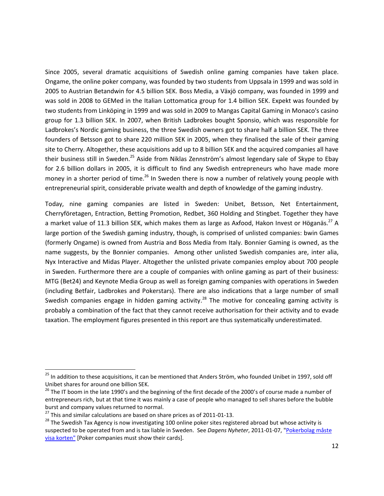Since 2005, several dramatic acquisitions of Swedish online gaming companies have taken place. Ongame, the online poker company, was founded by two students from Uppsala in 1999 and was sold in 2005 to Austrian Betandwin for 4.5 billion SEK. Boss Media, a Växjö company, was founded in 1999 and was sold in 2008 to GEMed in the Italian Lottomatica group for 1.4 billion SEK. Expekt was founded by two students from Linköping in 1999 and was sold in 2009 to Mangas Capital Gaming in Monaco's casino group for 1.3 billion SEK. In 2007, when British Ladbrokes bought Sponsio, which was responsible for Ladbrokes's Nordic gaming business, the three Swedish owners got to share half a billion SEK. The three founders of Betsson got to share 220 million SEK in 2005, when they finalised the sale of their gaming site to Cherry. Altogether, these acquisitions add up to 8 billion SEK and the acquired companies all have their business still in Sweden.<sup>25</sup> Aside from Niklas Zennström's almost legendary sale of Skype to Ebay for 2.6 billion dollars in 2005, it is difficult to find any Swedish entrepreneurs who have made more money in a shorter period of time.<sup>26</sup> In Sweden there is now a number of relatively young people with entrepreneurial spirit, considerable private wealth and depth of knowledge of the gaming industry.

Today, nine gaming companies are listed in Sweden: Unibet, Betsson, Net Entertainment, Cherryföretagen, Entraction, Betting Promotion, Redbet, 360 Holding and Stingbet. Together they have a market value of 11.3 billion SEK, which makes them as large as Axfood, Hakon Invest or Höganäs.<sup>27</sup> A large portion of the Swedish gaming industry, though, is comprised of unlisted companies: bwin Games (formerly Ongame) is owned from Austria and Boss Media from Italy. Bonnier Gaming is owned, as the name suggests, by the Bonnier companies. Among other unlisted Swedish companies are, inter alia, Nyx Interactive and Midas Player. Altogether the unlisted private companies employ about 700 people in Sweden. Furthermore there are a couple of companies with online gaming as part of their business: MTG (Bet24) and Keynote Media Group as well as foreign gaming companies with operations in Sweden (including Betfair, Ladbrokes and Pokerstars). There are also indications that a large number of small Swedish companies engage in hidden gaming activity.<sup>28</sup> The motive for concealing gaming activity is probably a combination of the fact that they cannot receive authorisation for their activity and to evade taxation. The employment figures presented in this report are thus systematically underestimated.

<sup>&</sup>lt;sup>25</sup> In addition to these acquisitions, it can be mentioned that Anders Ström, who founded Unibet in 1997, sold off Unibet shares for around one billion SEK.

 $^{26}$  The IT boom in the late 1990's and the beginning of the first decade of the 2000's of course made a number of entrepreneurs rich, but at that time it was mainly a case of people who managed to sell shares before the bubble burst and company values returned to normal.

 $^{27}$  This and similar calculations are based on share prices as of 2011-01-13.

<sup>&</sup>lt;sup>28</sup> The Swedish Tax Agency is now investigating 100 online poker sites registered abroad but whose activity is suspected to be operated from and is tax liable in Sweden. See *Dagens Nyheter*, 2011-01-07, ["Pokerbolag måste](http://www.dn.se/ekonomi/pokerbolag-maste-visa-korten)  [visa korten"](http://www.dn.se/ekonomi/pokerbolag-maste-visa-korten) [Poker companies must show their cards].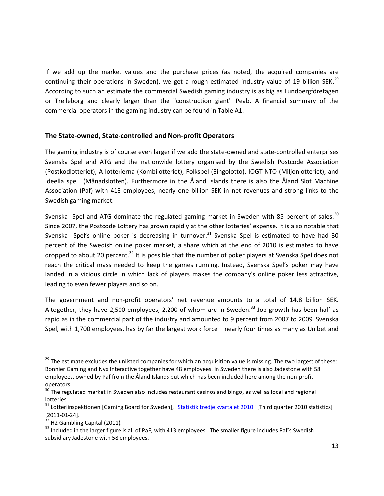If we add up the market values and the purchase prices (as noted, the acquired companies are continuing their operations in Sweden), we get a rough estimated industry value of 19 billion SEK.<sup>29</sup> According to such an estimate the commercial Swedish gaming industry is as big as Lundbergföretagen or Trelleborg and clearly larger than the "construction giant" Peab. A financial summary of the commercial operators in the gaming industry can be found in Table A1.

#### **The State-owned, State-controlled and Non-profit Operators**

The gaming industry is of course even larger if we add the state-owned and state-controlled enterprises Svenska Spel and ATG and the nationwide lottery organised by the Swedish Postcode Association (Postkodlotteriet), A-lotterierna (Kombilotteriet), Folkspel (Bingolotto), IOGT-NTO (Miljonlotteriet), and Ideella spel (Månadslotten). Furthermore in the Åland Islands there is also the Åland Slot Machine Association (Paf) with 413 employees, nearly one billion SEK in net revenues and strong links to the Swedish gaming market.

Svenska Spel and ATG dominate the regulated gaming market in Sweden with 85 percent of sales.<sup>30</sup> Since 2007, the Postcode Lottery has grown rapidly at the other lotteries' expense. It is also notable that Svenska Spel's online poker is decreasing in turnover.<sup>31</sup> Svenska Spel is estimated to have had 30 percent of the Swedish online poker market, a share which at the end of 2010 is estimated to have dropped to about 20 percent.<sup>32</sup> It is possible that the number of poker players at Svenska Spel does not reach the critical mass needed to keep the games running. Instead, Svenska Spel's poker may have landed in a vicious circle in which lack of players makes the company's online poker less attractive, leading to even fewer players and so on.

The government and non-profit operators' net revenue amounts to a total of 14.8 billion SEK. Altogether, they have 2,500 employees, 2,200 of whom are in Sweden. $^{33}$  Job growth has been half as rapid as in the commercial part of the industry and amounted to 9 percent from 2007 to 2009. Svenska Spel, with 1,700 employees, has by far the largest work force – nearly four times as many as Unibet and

<sup>&</sup>lt;sup>29</sup> The estimate excludes the unlisted companies for which an acquisition value is missing. The two largest of these: Bonnier Gaming and Nyx Interactive together have 48 employees. In Sweden there is also Jadestone with 58 employees, owned by Paf from the Åland Islands but which has been included here among the non-profit operators.

<sup>&</sup>lt;sup>30</sup> The regulated market in Sweden also includes restaurant casinos and bingo, as well as local and regional lotteries.

 $31$  Lotteriinspektionen [Gaming Board for Sweden], ["Statistik tredje kvartalet 2010"](http://www.lotteriinspektionen.se/sv/Press/Nyheter/Statistik-tredje-kvartalet-2010/) [Third quarter 2010 statistics] [2011-01-24].

 $32$  H2 Gambling Capital (2011).

 $33$  Included in the larger figure is all of PaF, with 413 employees. The smaller figure includes Paf's Swedish subsidiary Jadestone with 58 employees.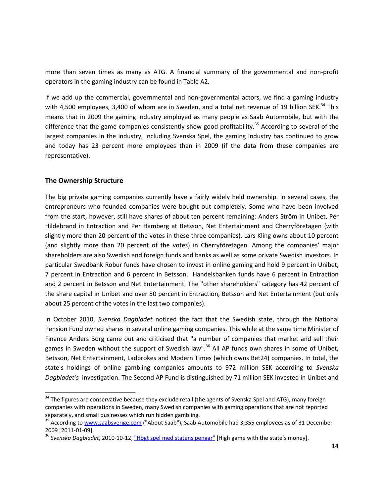more than seven times as many as ATG. A financial summary of the governmental and non-profit operators in the gaming industry can be found in Table A2.

If we add up the commercial, governmental and non-governmental actors, we find a gaming industry with 4,500 employees, 3,400 of whom are in Sweden, and a total net revenue of 19 billion SEK. $^{34}$  This means that in 2009 the gaming industry employed as many people as Saab Automobile, but with the difference that the game companies consistently show good profitability.<sup>35</sup> According to several of the largest companies in the industry, including Svenska Spel, the gaming industry has continued to grow and today has 23 percent more employees than in 2009 (if the data from these companies are representative).

#### **The Ownership Structure**

l

The big private gaming companies currently have a fairly widely held ownership. In several cases, the entrepreneurs who founded companies were bought out completely. Some who have been involved from the start, however, still have shares of about ten percent remaining: Anders Ström in Unibet, Per Hildebrand in Entraction and Per Hamberg at Betsson, Net Entertainment and Cherryföretagen (with slightly more than 20 percent of the votes in these three companies). Lars Kling owns about 10 percent (and slightly more than 20 percent of the votes) in Cherryföretagen. Among the companies' major shareholders are also Swedish and foreign funds and banks as well as some private Swedish investors. In particular Swedbank Robur funds have chosen to invest in online gaming and hold 9 percent in Unibet, 7 percent in Entraction and 6 percent in Betsson. Handelsbanken funds have 6 percent in Entraction and 2 percent in Betsson and Net Entertainment. The "other shareholders" category has 42 percent of the share capital in Unibet and over 50 percent in Entraction, Betsson and Net Entertainment (but only about 25 percent of the votes in the last two companies).

In October 2010, *Svenska Dagbladet* noticed the fact that the Swedish state, through the National Pension Fund owned shares in several online gaming companies. This while at the same time Minister of Finance Anders Borg came out and criticised that "a number of companies that market and sell their games in Sweden without the support of Swedish law".<sup>36</sup> All AP funds own shares in some of Unibet, Betsson, Net Entertainment, Ladbrokes and Modern Times (which owns Bet24) companies. In total, the state's holdings of online gambling companies amounts to 972 million SEK according to *Svenska Dagbladet's* investigation. The Second AP Fund is distinguished by 71 million SEK invested in Unibet and

<sup>&</sup>lt;sup>34</sup> The figures are conservative because they exclude retail (the agents of Svenska Spel and ATG), many foreign companies with operations in Sweden, many Swedish companies with gaming operations that are not reported separately, and small businesses which run hidden gambling.

<sup>&</sup>lt;sup>35</sup> According to [www.saabsverige.com](http://www.saabsverige.com/) ("About Saab"), Saab Automobile had 3,355 employees as of 31 December 2009 [2011-01-09].

<sup>&</sup>lt;sup>36</sup> Svenska Dagbladet, 2010-10-12, <u>"Högt spel med statens pengar"</u> [High game with the state's money].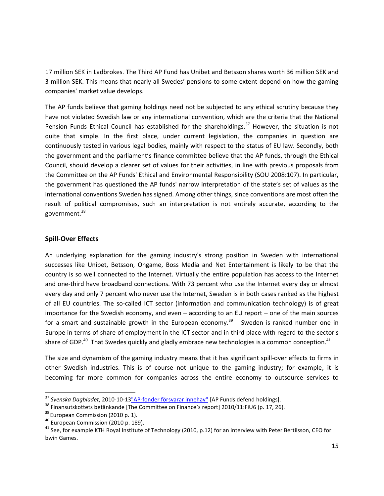17 million SEK in Ladbrokes. The Third AP Fund has Unibet and Betsson shares worth 36 million SEK and 3 million SEK. This means that nearly all Swedes' pensions to some extent depend on how the gaming companies' market value develops.

The AP funds believe that gaming holdings need not be subjected to any ethical scrutiny because they have not violated Swedish law or any international convention, which are the criteria that the National Pension Funds Ethical Council has established for the shareholdings.<sup>37</sup> However, the situation is not quite that simple. In the first place, under current legislation, the companies in question are continuously tested in various legal bodies, mainly with respect to the status of EU law. Secondly, both the government and the parliament's finance committee believe that the AP funds, through the Ethical Council, should develop a clearer set of values for their activities, in line with previous proposals from the Committee on the AP Funds' Ethical and Environmental Responsibility (SOU 2008:107). In particular, the government has questioned the AP funds' narrow interpretation of the state's set of values as the international conventions Sweden has signed. Among other things, since conventions are most often the result of political compromises, such an interpretation is not entirely accurate, according to the government.<sup>38</sup>

#### **Spill-Over Effects**

An underlying explanation for the gaming industry's strong position in Sweden with international successes like Unibet, Betsson, Ongame, Boss Media and Net Entertainment is likely to be that the country is so well connected to the Internet. Virtually the entire population has access to the Internet and one-third have broadband connections. With 73 percent who use the Internet every day or almost every day and only 7 percent who never use the Internet, Sweden is in both cases ranked as the highest of all EU countries. The so-called ICT sector (information and communication technology) is of great importance for the Swedish economy, and even – according to an EU report – one of the main sources for a smart and sustainable growth in the European economy.<sup>39</sup> Sweden is ranked number one in Europe in terms of share of employment in the ICT sector and in third place with regard to the sector's share of GDP.<sup>40</sup> That Swedes quickly and gladly embrace new technologies is a common conception.<sup>41</sup>

The size and dynamism of the gaming industry means that it has significant spill-over effects to firms in other Swedish industries. This is of course not unique to the gaming industry; for example, it is becoming far more common for companies across the entire economy to outsource services to

l

<sup>&</sup>lt;sup>37</sup> Svenska Dagbladet, 2010-10-13<u>"AP-fonder försvarar innehav"</u> [AP Funds defend holdings].

<sup>38</sup> Finansutskottets betänkande [The Committee on Finance's report] 2010/11:FiU6 (p. 17, 26).

 $39$  European Commission (2010 p. 1).

<sup>40</sup> European Commission (2010 p. 189).

 $41$  See, for example KTH Royal Institute of Technology (2010, p.12) for an interview with Peter Bertilsson, CEO for bwin Games.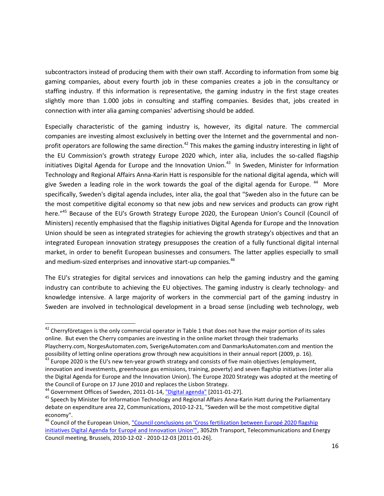subcontractors instead of producing them with their own staff. According to information from some big gaming companies, about every fourth job in these companies creates a job in the consultancy or staffing industry. If this information is representative, the gaming industry in the first stage creates slightly more than 1.000 jobs in consulting and staffing companies. Besides that, jobs created in connection with inter alia gaming companies' advertising should be added.

Especially characteristic of the gaming industry is, however, its digital nature. The commercial companies are investing almost exclusively in betting over the Internet and the governmental and nonprofit operators are following the same direction.<sup>42</sup> This makes the gaming industry interesting in light of the EU Commission's growth strategy Europe 2020 which, inter alia, includes the so-called flagship initiatives Digital Agenda for Europe and the Innovation Union.<sup>43</sup> In Sweden, Minister for Information Technology and Regional Affairs Anna-Karin Hatt is responsible for the national digital agenda, which will give Sweden a leading role in the work towards the goal of the digital agenda for Europe. <sup>44</sup> More specifically, Sweden's digital agenda includes, inter alia, the goal that "Sweden also in the future can be the most competitive digital economy so that new jobs and new services and products can grow right here."<sup>45</sup> Because of the EU's Growth Strategy Europe 2020, the European Union's Council (Council of Ministers) recently emphasised that the flagship initiatives Digital Agenda for Europe and the Innovation Union should be seen as integrated strategies for achieving the growth strategy's objectives and that an integrated European innovation strategy presupposes the creation of a fully functional digital internal market, in order to benefit European businesses and consumers. The latter applies especially to small and medium-sized enterprises and innovative start-up companies.<sup>46</sup>

The EU's strategies for digital services and innovations can help the gaming industry and the gaming industry can contribute to achieving the EU objectives. The gaming industry is clearly technology- and knowledge intensive. A large majority of workers in the commercial part of the gaming industry in Sweden are involved in technological development in a broad sense (including web technology, web

 $42$  Cherryföretagen is the only commercial operator in Table 1 that does not have the major portion of its sales online. But even the Cherry companies are investing in the online market through their trademarks Playcherry.com, NorgesAutomaten.com, SverigeAutomaten.com and DanmarksAutomaten.com and mention the possibility of letting online operations grow through new acquisitions in their annual report (2009, p. 16).

 $^{43}$  Europe 2020 is the EU's new ten-year growth strategy and consists of five main objectives (employment, innovation and investments, greenhouse gas emissions, training, poverty) and seven flagship initiatives (inter alia the Digital Agenda for Europe and the Innovation Union). The Europe 2020 Strategy was adopted at the meeting of the Council of Europe on 17 June 2010 and replaces the Lisbon Strategy.

<sup>&</sup>lt;sup>44</sup> Government Offices of Sweden, 2011-01-14, ["Digital agenda"](http://www.regeringen.se/sb/d/2373/a/154590) [2011-01-27].

<sup>&</sup>lt;sup>45</sup> Speech by Minister for Information Technology and Regional Affairs Anna-Karin Hatt during the Parliamentary debate on expenditure area 22, Communications, 2010-12-21, "Sweden will be the most competitive digital economy".

<sup>&</sup>lt;sup>46</sup> Council of the European Union, "Council conclusions on 'Cross fertilization between Europé 2020 flagship [initiatives Digital Agenda for Europé and Innovation Union'",](http://www.consilium.europa.eu/uedocs/cms_data/docs/pressdata/en/trans/118206.pdf) 3052th Transport, Telecommunications and Energy Council meeting, Brussels, 2010-12-02 - 2010-12-03 [2011-01-26].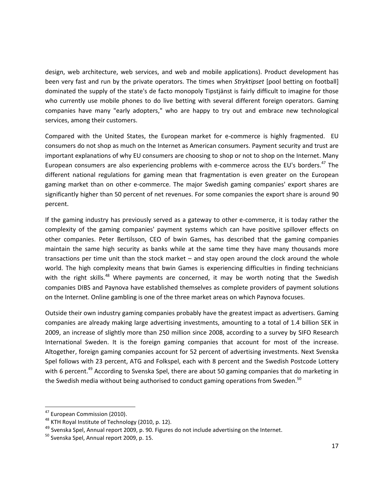design, web architecture, web services, and web and mobile applications). Product development has been very fast and run by the private operators. The times when *Stryktipset* [pool betting on football] dominated the supply of the state's de facto monopoly Tipstjänst is fairly difficult to imagine for those who currently use mobile phones to do live betting with several different foreign operators. Gaming companies have many "early adopters," who are happy to try out and embrace new technological services, among their customers.

Compared with the United States, the European market for e-commerce is highly fragmented. EU consumers do not shop as much on the Internet as American consumers. Payment security and trust are important explanations of why EU consumers are choosing to shop or not to shop on the Internet. Many European consumers are also experiencing problems with e-commerce across the EU's borders.<sup>47</sup> The different national regulations for gaming mean that fragmentation is even greater on the European gaming market than on other e-commerce. The major Swedish gaming companies' export shares are significantly higher than 50 percent of net revenues. For some companies the export share is around 90 percent.

If the gaming industry has previously served as a gateway to other e-commerce, it is today rather the complexity of the gaming companies' payment systems which can have positive spillover effects on other companies. Peter Bertilsson, CEO of bwin Games, has described that the gaming companies maintain the same high security as banks while at the same time they have many thousands more transactions per time unit than the stock market – and stay open around the clock around the whole world. The high complexity means that bwin Games is experiencing difficulties in finding technicians with the right skills.<sup>48</sup> Where payments are concerned, it may be worth noting that the Swedish companies DIBS and Paynova have established themselves as complete providers of payment solutions on the Internet. Online gambling is one of the three market areas on which Paynova focuses.

Outside their own industry gaming companies probably have the greatest impact as advertisers. Gaming companies are already making large advertising investments, amounting to a total of 1.4 billion SEK in 2009, an increase of slightly more than 250 million since 2008, according to a survey by SIFO Research International Sweden. It is the foreign gaming companies that account for most of the increase. Altogether, foreign gaming companies account for 52 percent of advertising investments. Next Svenska Spel follows with 23 percent, ATG and Folkspel, each with 8 percent and the Swedish Postcode Lottery with 6 percent.<sup>49</sup> According to Svenska Spel, there are about 50 gaming companies that do marketing in the Swedish media without being authorised to conduct gaming operations from Sweden.<sup>50</sup>

<sup>&</sup>lt;sup>47</sup> European Commission (2010).

<sup>&</sup>lt;sup>48</sup> KTH Royal Institute of Technology (2010, p. 12).

<sup>&</sup>lt;sup>49</sup> Svenska Spel, Annual report 2009, p. 90. Figures do not include advertising on the Internet.

<sup>&</sup>lt;sup>50</sup> Svenska Spel, Annual report 2009, p. 15.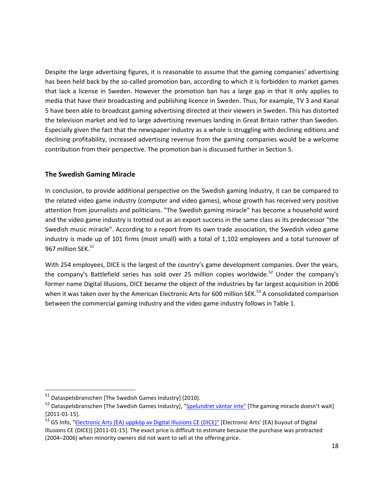Despite the large advertising figures, it is reasonable to assume that the gaming companies' advertising has been held back by the so-called promotion ban, according to which it is forbidden to market games that lack a license in Sweden. However the promotion ban has a large gap in that it only applies to media that have their broadcasting and publishing licence in Sweden. Thus, for example, TV 3 and Kanal 5 have been able to broadcast gaming advertising directed at their viewers in Sweden. This has distorted the television market and led to large advertising revenues landing in Great Britain rather than Sweden. Especially given the fact that the newspaper industry as a whole is struggling with declining editions and declining profitability, increased advertising revenue from the gaming companies would be a welcome contribution from their perspective. The promotion ban is discussed further in Section 5.

#### **The Swedish Gaming Miracle**

In conclusion, to provide additional perspective on the Swedish gaming industry, it can be compared to the related video game industry (computer and video games), whose growth has received very positive attention from journalists and politicians. "The Swedish gaming miracle" has become a household word and the video game industry is trotted out as an export success in the same class as its predecessor "the Swedish music miracle". According to a report from its own trade association, the Swedish video game industry is made up of 101 firms (most small) with a total of 1,102 employees and a total turnover of 967 million SEK.<sup>51</sup>

With 254 employees, DICE is the largest of the country's game development companies. Over the years, the company's Battlefield series has sold over 25 million copies worldwide.<sup>52</sup> Under the company's former name Digital Illusions, DICE became the object of the industries by far largest acquisition in 2006 when it was taken over by the American Electronic Arts for 600 million SEK.<sup>53</sup> A consolidated comparison between the commercial gaming industry and the video game industry follows in Table 1.

<sup>51</sup> Dataspelsbranschen [The Swedish Games Industry] (2010).

<sup>52</sup> Dataspelsbranschen [The Swedish Games Industry], ["Spelundret väntar inte"](http://www.dataspelsbranschen.se/blogg/2010/3/31/spelundret-vaentar-inte.aspx) [The gaming miracle doesn't wait] [2011-01-15].

<sup>&</sup>lt;sup>53</sup> G5 Info, ["Electronic Arts \(EA\) uppköp av Digital Illusions CE \(DICE\)"](http://www.g5info.se/EA-Dice.htm) [Electronic Arts' (EA) buyout of Digital Illusions CE (DICE)] [2011-01-15]. The exact price is difficult to estimate because the purchase was protracted (2004–2006) when minority owners did not want to sell at the offering price.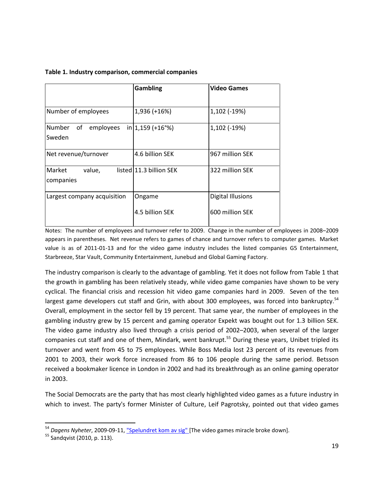| Table 1. Industry comparison, commercial companies |
|----------------------------------------------------|
|                                                    |

|                               | Gambling                  | <b>Video Games</b>       |  |
|-------------------------------|---------------------------|--------------------------|--|
|                               |                           |                          |  |
| Number of employees           | 1,936 (+16%)              | 1,102 (-19%)             |  |
| <b>Number</b><br>of employees | $in \, 1,159 \, (+16\,%)$ | $1,102$ (-19%)           |  |
| Sweden                        |                           |                          |  |
| Net revenue/turnover          | 4.6 billion SEK           | 967 million SEK          |  |
| Market<br>value,<br>companies | listed 11.3 billion SEK   | 322 million SFK          |  |
| Largest company acquisition   | Ongame                    | <b>Digital Illusions</b> |  |
|                               | 4.5 billion SFK           | 600 million SEK          |  |

Notes: The number of employees and turnover refer to 2009. Change in the number of employees in 2008–2009 appears in parentheses. Net revenue refers to games of chance and turnover refers to computer games. Market value is as of 2011-01-13 and for the video game industry includes the listed companies G5 Entertainment, Starbreeze, Star Vault, Community Entertainment, Junebud and Global Gaming Factory.

The industry comparison is clearly to the advantage of gambling. Yet it does not follow from Table 1 that the growth in gambling has been relatively steady, while video game companies have shown to be very cyclical. The financial crisis and recession hit video game companies hard in 2009. Seven of the ten largest game developers cut staff and Grin, with about 300 employees, was forced into bankruptcy.<sup>54</sup> Overall, employment in the sector fell by 19 percent. That same year, the number of employees in the gambling industry grew by 15 percent and gaming operator Expekt was bought out for 1.3 billion SEK. The video game industry also lived through a crisis period of 2002–2003, when several of the larger companies cut staff and one of them, Mindark, went bankrupt.<sup>55</sup> During these years, Unibet tripled its turnover and went from 45 to 75 employees. While Boss Media lost 23 percent of its revenues from 2001 to 2003, their work force increased from 86 to 106 people during the same period. Betsson received a bookmaker licence in London in 2002 and had its breakthrough as an online gaming operator in 2003.

The Social Democrats are the party that has most clearly highlighted video games as a future industry in which to invest. The party's former Minister of Culture, Leif Pagrotsky, pointed out that video games

<sup>54</sup> *Dagens Nyheter*, 2009-09-11, ["Spelundret kom av sig"](http://www.dn.se/ekonomi/spelundret-kom-av-sig) [The video games miracle broke down].

<sup>&</sup>lt;sup>55</sup> Sandqvist (2010, p. 113).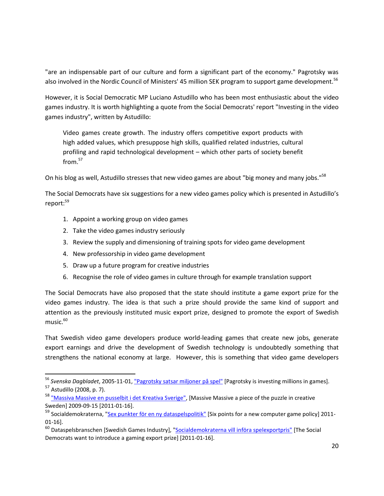"are an indispensable part of our culture and form a significant part of the economy." Pagrotsky was also involved in the Nordic Council of Ministers' 45 million SEK program to support game development.<sup>56</sup>

However, it is Social Democratic MP Luciano Astudillo who has been most enthusiastic about the video games industry. It is worth highlighting a quote from the Social Democrats' report "Investing in the video games industry", written by Astudillo:

Video games create growth. The industry offers competitive export products with high added values, which presuppose high skills, qualified related industries, cultural profiling and rapid technological development – which other parts of society benefit from. 57

On his blog as well, Astudillo stresses that new video games are about "big money and many jobs."<sup>58</sup>

The Social Democrats have six suggestions for a new video games policy which is presented in Astudillo's report:<sup>59</sup>

- 1. Appoint a working group on video games
- 2. Take the video games industry seriously

l

- 3. Review the supply and dimensioning of training spots for video game development
- 4. New professorship in video game development
- 5. Draw up a future program for creative industries
- 6. Recognise the role of video games in culture through for example translation support

The Social Democrats have also proposed that the state should institute a game export prize for the video games industry. The idea is that such a prize should provide the same kind of support and attention as the previously instituted music export prize, designed to promote the export of Swedish music. 60

That Swedish video game developers produce world-leading games that create new jobs, generate export earnings and drive the development of Swedish technology is undoubtedly something that strengthens the national economy at large. However, this is something that video game developers

<sup>&</sup>lt;sup>56</sup> Svenska Dagbladet, 2005-11-01, <u>"Pagrotsky satsar miljoner på spel"</u> [Pagrotsky is investing millions in games]. <sup>57</sup> Astudillo (2008, p. 7).

<sup>&</sup>lt;sup>58</sup> ["Massiva Massive en pusselbit i det Kreativa Sverige",](http://luciano-astudillo.blogspot.com/2009/09/massiva-massive-en-pusselbit-i-det.html) [Massive Massive a piece of the puzzle in creative Sweden] 2009-09-15 [2011-01-16].

<sup>&</sup>lt;sup>59</sup> Socialdemokraterna, ["Sex punkter för en ny dataspelspolitik"](http://www.socialdemokraterna.se/Var-politik/featureartiklar/Arkiv/Sex-punkter-for-en-ny-dataspelspolitik/) [Six points for a new computer game policy] 2011-01-16].

<sup>&</sup>lt;sup>60</sup> Dataspelsbranschen [Swedish Games Industry], "<u>Socialdemokraterna vill införa spelexportpris"</u> [The Social Democrats want to introduce a gaming export prize] [2011-01-16].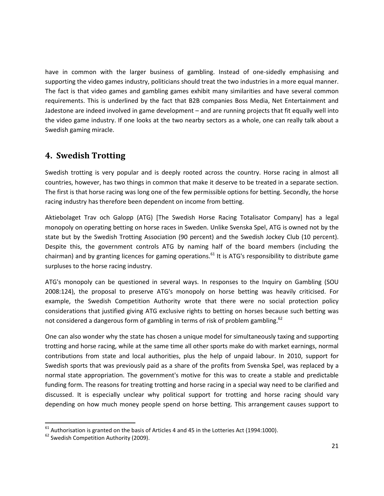have in common with the larger business of gambling. Instead of one-sidedly emphasising and supporting the video games industry, politicians should treat the two industries in a more equal manner. The fact is that video games and gambling games exhibit many similarities and have several common requirements. This is underlined by the fact that B2B companies Boss Media, Net Entertainment and Jadestone are indeed involved in game development – and are running projects that fit equally well into the video game industry. If one looks at the two nearby sectors as a whole, one can really talk about a Swedish gaming miracle.

### <span id="page-20-0"></span>**4. Swedish Trotting**

Swedish trotting is very popular and is deeply rooted across the country. Horse racing in almost all countries, however, has two things in common that make it deserve to be treated in a separate section. The first is that horse racing was long one of the few permissible options for betting. Secondly, the horse racing industry has therefore been dependent on income from betting.

Aktiebolaget Trav och Galopp (ATG) [The Swedish Horse Racing Totalisator Company] has a legal monopoly on operating betting on horse races in Sweden. Unlike Svenska Spel, ATG is owned not by the state but by the Swedish Trotting Association (90 percent) and the Swedish Jockey Club (10 percent). Despite this, the government controls ATG by naming half of the board members (including the chairman) and by granting licences for gaming operations.<sup>61</sup> It is ATG's responsibility to distribute game surpluses to the horse racing industry.

ATG's monopoly can be questioned in several ways. In responses to the Inquiry on Gambling (SOU 2008:124), the proposal to preserve ATG's monopoly on horse betting was heavily criticised. For example, the Swedish Competition Authority wrote that there were no social protection policy considerations that justified giving ATG exclusive rights to betting on horses because such betting was not considered a dangerous form of gambling in terms of risk of problem gambling.<sup>62</sup>

One can also wonder why the state has chosen a unique model for simultaneously taxing and supporting trotting and horse racing, while at the same time all other sports make do with market earnings, normal contributions from state and local authorities, plus the help of unpaid labour. In 2010, support for Swedish sports that was previously paid as a share of the profits from Svenska Spel, was replaced by a normal state appropriation. The government's motive for this was to create a stable and predictable funding form. The reasons for treating trotting and horse racing in a special way need to be clarified and discussed. It is especially unclear why political support for trotting and horse racing should vary depending on how much money people spend on horse betting. This arrangement causes support to

 $61$  Authorisation is granted on the basis of Articles 4 and 45 in the Lotteries Act (1994:1000).

<sup>&</sup>lt;sup>62</sup> Swedish Competition Authority (2009).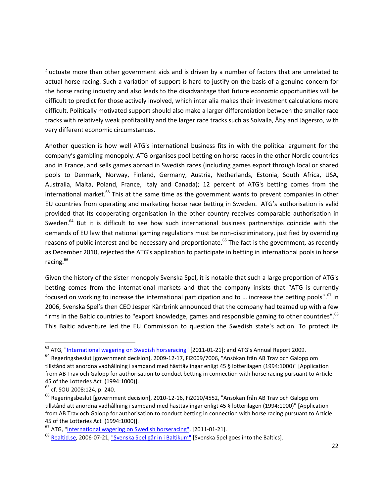fluctuate more than other government aids and is driven by a number of factors that are unrelated to actual horse racing. Such a variation of support is hard to justify on the basis of a genuine concern for the horse racing industry and also leads to the disadvantage that future economic opportunities will be difficult to predict for those actively involved, which inter alia makes their investment calculations more difficult. Politically motivated support should also make a larger differentiation between the smaller race tracks with relatively weak profitability and the larger race tracks such as Solvalla, Åby and Jägersro, with very different economic circumstances.

Another question is how well ATG's international business fits in with the political argument for the company's gambling monopoly. ATG organises pool betting on horse races in the other Nordic countries and in France, and sells games abroad in Swedish races (including games export through local or shared pools to Denmark, Norway, Finland, Germany, Austria, Netherlands, Estonia, South Africa, USA, Australia, Malta, Poland, France, Italy and Canada); 12 percent of ATG's betting comes from the international market. $^{63}$  This at the same time as the government wants to prevent companies in other EU countries from operating and marketing horse race betting in Sweden. ATG's authorisation is valid provided that its cooperating organisation in the other country receives comparable authorisation in Sweden.<sup>64</sup> But it is difficult to see how such international business partnerships coincide with the demands of EU law that national gaming regulations must be non-discriminatory, justified by overriding reasons of public interest and be necessary and proportionate.<sup>65</sup> The fact is the government, as recently as December 2010, rejected the ATG's application to participate in betting in international pools in horse racing.<sup>66</sup>

Given the history of the sister monopoly Svenska Spel, it is notable that such a large proportion of ATG's betting comes from the international markets and that the company insists that "ATG is currently focused on working to increase the international participation and to ... increase the betting pools".<sup>67</sup> In 2006, Svenska Spel's then CEO Jesper Kärrbrink announced that the company had teamed up with a few firms in the Baltic countries to "export knowledge, games and responsible gaming to other countries".<sup>68</sup> This Baltic adventure led the EU Commission to question the Swedish state's action. To protect its

<sup>&</sup>lt;sup>63</sup> ATG, ["International wagering on Swedish horseracing"](http://www02.atg.se/cm/english/aboutatg/partnerrelations/wageringonswedishracing) [2011-01-21]; and ATG's Annual Report 2009.

<sup>64</sup> Regeringsbeslut [government decision], 2009-12-17, Fi2009/7006, "Ansökan från AB Trav och Galopp om tillstånd att anordna vadhållning i samband med hästtävlingar enligt 45 § lotterilagen (1994:1000)" [Application from AB Trav och Galopp for authorisation to conduct betting in connection with horse racing pursuant to Article 45 of the Lotteries Act (1994:1000)].

<sup>65</sup> cf. SOU 2008:124, p. 240.

<sup>&</sup>lt;sup>66</sup> Regeringsbeslut [government decision], 2010-12-16, Fi2010/4552, "Ansökan från AB Trav och Galopp om tillstånd att anordna vadhållning i samband med hästtävlingar enligt 45 § lotterilagen (1994:1000)" [Application from AB Trav och Galopp for authorisation to conduct betting in connection with horse racing pursuant to Article 45 of the Lotteries Act (1994:1000)].

 $67$  ATG, ["International wagering on Swedish horseracing",](http://www02.atg.se/cm/english/aboutatg/partnerrelations/wageringonswedishracing) [2011-01-21].

<sup>&</sup>lt;sup>68</sup> [Realtid.se,](http://realtid.se/) 2006-07-21[, "Svenska Spel går in i Baltikum"](http://www.realtid.se/ArticlePages/200607/20/20060720161826_Administrators458/20060720161826_Administrators458.dbp.asp) [Svenska Spel goes into the Baltics].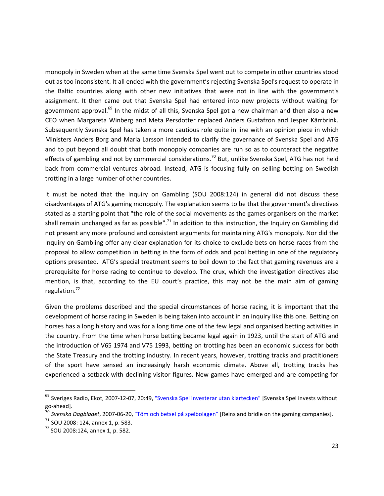monopoly in Sweden when at the same time Svenska Spel went out to compete in other countries stood out as too inconsistent. It all ended with the government's rejecting Svenska Spel's request to operate in the Baltic countries along with other new initiatives that were not in line with the government's assignment. It then came out that Svenska Spel had entered into new projects without waiting for government approval.<sup>69</sup> In the midst of all this, Svenska Spel got a new chairman and then also a new CEO when Margareta Winberg and Meta Persdotter replaced Anders Gustafzon and Jesper Kärrbrink. Subsequently Svenska Spel has taken a more cautious role quite in line with an opinion piece in which Ministers Anders Borg and Maria Larsson intended to clarify the governance of Svenska Spel and ATG and to put beyond all doubt that both monopoly companies are run so as to counteract the negative effects of gambling and not by commercial considerations.<sup>70</sup> But, unlike Svenska Spel, ATG has not held back from commercial ventures abroad. Instead, ATG is focusing fully on selling betting on Swedish trotting in a large number of other countries.

It must be noted that the Inquiry on Gambling (SOU 2008:124) in general did not discuss these disadvantages of ATG's gaming monopoly. The explanation seems to be that the government's directives stated as a starting point that "the role of the social movements as the games organisers on the market shall remain unchanged as far as possible".<sup>71</sup> In addition to this instruction, the Inquiry on Gambling did not present any more profound and consistent arguments for maintaining ATG's monopoly. Nor did the Inquiry on Gambling offer any clear explanation for its choice to exclude bets on horse races from the proposal to allow competition in betting in the form of odds and pool betting in one of the regulatory options presented. ATG's special treatment seems to boil down to the fact that gaming revenues are a prerequisite for horse racing to continue to develop. The crux, which the investigation directives also mention, is that, according to the EU court's practice, this may not be the main aim of gaming regulation.<sup>72</sup>

Given the problems described and the special circumstances of horse racing, it is important that the development of horse racing in Sweden is being taken into account in an inquiry like this one. Betting on horses has a long history and was for a long time one of the few legal and organised betting activities in the country. From the time when horse betting became legal again in 1923, until the start of ATG and the introduction of V65 1974 and V75 1993, betting on trotting has been an economic success for both the State Treasury and the trotting industry. In recent years, however, trotting tracks and practitioners of the sport have sensed an increasingly harsh economic climate. Above all, trotting tracks has experienced a setback with declining visitor figures. New games have emerged and are competing for

<sup>&</sup>lt;sup>69</sup> Sveriges Radio, Ekot, 2007-12-07, 20:49, ["Svenska Spel investerar utan klartecken"](http://sverigesradio.se/sida/artikel.aspx?programid=83&artikel=1764219) [Svenska Spel invests without go-ahead].

<sup>&</sup>lt;sup>70</sup> Svenska Dagbladet, 2007-06-20, <u>"Töm och betsel på spelbolagen"</u> [Reins and bridle on the gaming companies].

<sup>71</sup> SOU 2008: 124, annex 1, p. 583.

<sup>72</sup> SOU 2008:124, annex 1, p. 582.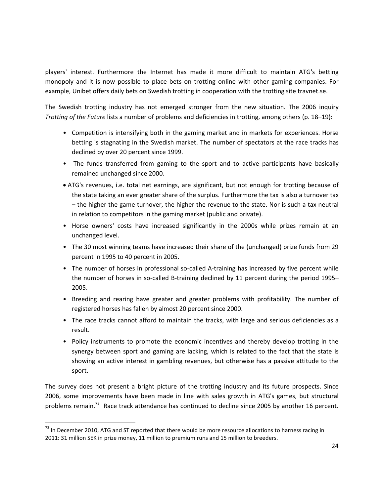players' interest. Furthermore the Internet has made it more difficult to maintain ATG's betting monopoly and it is now possible to place bets on trotting online with other gaming companies. For example, Unibet offers daily bets on Swedish trotting in cooperation with the trotting site travnet.se.

The Swedish trotting industry has not emerged stronger from the new situation. The 2006 inquiry *Trotting of the Future* lists a number of problems and deficiencies in trotting, among others (p. 18–19):

- Competition is intensifying both in the gaming market and in markets for experiences. Horse betting is stagnating in the Swedish market. The number of spectators at the race tracks has declined by over 20 percent since 1999.
- The funds transferred from gaming to the sport and to active participants have basically remained unchanged since 2000.
- ATG's revenues, i.e. total net earnings, are significant, but not enough for trotting because of the state taking an ever greater share of the surplus. Furthermore the tax is also a turnover tax – the higher the game turnover, the higher the revenue to the state. Nor is such a tax neutral in relation to competitors in the gaming market (public and private).
- Horse owners' costs have increased significantly in the 2000s while prizes remain at an unchanged level.
- The 30 most winning teams have increased their share of the (unchanged) prize funds from 29 percent in 1995 to 40 percent in 2005.
- The number of horses in professional so-called A-training has increased by five percent while the number of horses in so-called B-training declined by 11 percent during the period 1995– 2005.
- Breeding and rearing have greater and greater problems with profitability. The number of registered horses has fallen by almost 20 percent since 2000.
- The race tracks cannot afford to maintain the tracks, with large and serious deficiencies as a result.
- Policy instruments to promote the economic incentives and thereby develop trotting in the synergy between sport and gaming are lacking, which is related to the fact that the state is showing an active interest in gambling revenues, but otherwise has a passive attitude to the sport.

The survey does not present a bright picture of the trotting industry and its future prospects. Since 2006, some improvements have been made in line with sales growth in ATG's games, but structural problems remain.<sup>73</sup> Race track attendance has continued to decline since 2005 by another 16 percent.

<sup>&</sup>lt;sup>73</sup> In December 2010, ATG and ST reported that there would be more resource allocations to harness racing in 2011: 31 million SEK in prize money, 11 million to premium runs and 15 million to breeders.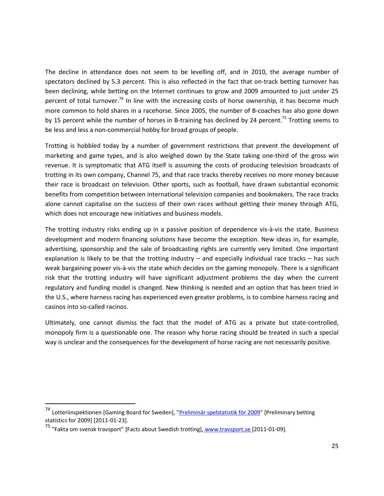The decline in attendance does not seem to be levelling off, and in 2010, the average number of spectators declined by 5.3 percent. This is also reflected in the fact that on-track betting turnover has been declining, while betting on the Internet continues to grow and 2009 amounted to just under 25 percent of total turnover.<sup>74</sup> In line with the increasing costs of horse ownership, it has become much more common to hold shares in a racehorse. Since 2005, the number of B-coaches has also gone down by 15 percent while the number of horses in B-training has declined by 24 percent.<sup>75</sup> Trotting seems to be less and less a non-commercial hobby for broad groups of people.

Trotting is hobbled today by a number of government restrictions that prevent the development of marketing and game types, and is also weighed down by the State taking one-third of the gross win revenue. It is symptomatic that ATG itself is assuming the costs of producing television broadcasts of trotting in its own company, Channel 75, and that race tracks thereby receives no more money because their race is broadcast on television. Other sports, such as football, have drawn substantial economic benefits from competition between international television companies and bookmakers. The race tracks alone cannot capitalise on the success of their own races without getting their money through ATG, which does not encourage new initiatives and business models.

The trotting industry risks ending up in a passive position of dependence vis-à-vis the state. Business development and modern financing solutions have become the exception. New ideas in, for example, advertising, sponsorship and the sale of broadcasting rights are currently very limited. One important explanation is likely to be that the trotting industry  $-$  and especially individual race tracks  $-$  has such weak bargaining power vis-à-vis the state which decides on the gaming monopoly. There is a significant risk that the trotting industry will have significant adjustment problems the day when the current regulatory and funding model is changed. New thinking is needed and an option that has been tried in the U.S., where harness racing has experienced even greater problems, is to combine harness racing and casinos into so-called racinos.

Ultimately, one cannot dismiss the fact that the model of ATG as a private but state-controlled, monopoly firm is a questionable one. The reason why horse racing should be treated in such a special way is unclear and the consequences for the development of horse racing are not necessarily positive.

<sup>&</sup>lt;sup>74</sup> Lotteriinspektionen [Gaming Board for Sweden], "Preliminär spelstatistik för 2009" [Preliminary betting statistics for 2009] [2011-01-23].

<sup>&</sup>lt;sup>75</sup> "Fakta om svensk travsport" [Facts about Swedish trotting], [www.travsport.se \[](http://www.travsport.se/)2011-01-09].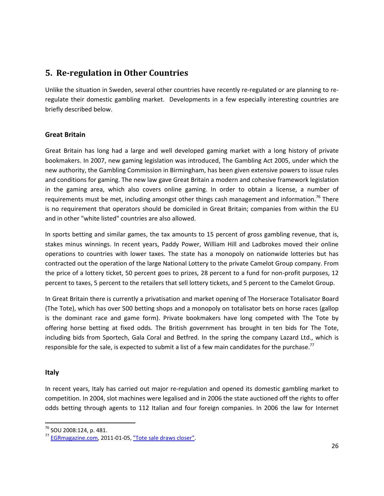# <span id="page-25-0"></span>**5. Re-regulation in Other Countries**

Unlike the situation in Sweden, several other countries have recently re-regulated or are planning to reregulate their domestic gambling market. Developments in a few especially interesting countries are briefly described below.

### **Great Britain**

Great Britain has long had a large and well developed gaming market with a long history of private bookmakers. In 2007, new gaming legislation was introduced, The Gambling Act 2005, under which the new authority, the Gambling Commission in Birmingham, has been given extensive powers to issue rules and conditions for gaming. The new law gave Great Britain a modern and cohesive framework legislation in the gaming area, which also covers online gaming. In order to obtain a license, a number of requirements must be met, including amongst other things cash management and information.<sup>76</sup> There is no requirement that operators should be domiciled in Great Britain; companies from within the EU and in other "white listed" countries are also allowed.

In sports betting and similar games, the tax amounts to 15 percent of gross gambling revenue, that is, stakes minus winnings. In recent years, Paddy Power, William Hill and Ladbrokes moved their online operations to countries with lower taxes. The state has a monopoly on nationwide lotteries but has contracted out the operation of the large National Lottery to the private Camelot Group company. From the price of a lottery ticket, 50 percent goes to prizes, 28 percent to a fund for non-profit purposes, 12 percent to taxes, 5 percent to the retailers that sell lottery tickets, and 5 percent to the Camelot Group.

In Great Britain there is currently a privatisation and market opening of The Horserace Totalisator Board (The Tote), which has over 500 betting shops and a monopoly on totalisator bets on horse races (gallop is the dominant race and game form). Private bookmakers have long competed with The Tote by offering horse betting at fixed odds. The British government has brought in ten bids for The Tote, including bids from Sportech, Gala Coral and Betfred. In the spring the company Lazard Ltd., which is responsible for the sale, is expected to submit a list of a few main candidates for the purchase.<sup>77</sup>

#### **Italy**

 $\overline{\phantom{a}}$ 

In recent years, Italy has carried out major re-regulation and opened its domestic gambling market to competition. In 2004, slot machines were legalised and in 2006 the state auctioned off the rights to offer odds betting through agents to 112 Italian and four foreign companies. In 2006 the law for Internet

<sup>76</sup> SOU 2008:124, p. 481.

<sup>77</sup> [EGRmagazine.com,](http://egrmagazine.com/) 2011-01-05[, "Tote sale draws closer".](http://www.egrmagazine.com/news/864917/news-in-brief-tote-sale-draws-closer-gamblingcom-sale-jaxx-selects-net-entertainment.thtml)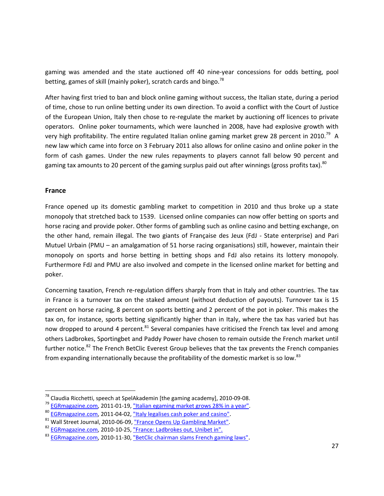gaming was amended and the state auctioned off 40 nine-year concessions for odds betting, pool betting, games of skill (mainly poker), scratch cards and bingo.<sup>78</sup>

After having first tried to ban and block online gaming without success, the Italian state, during a period of time, chose to run online betting under its own direction. To avoid a conflict with the Court of Justice of the European Union, Italy then chose to re-regulate the market by auctioning off licences to private operators. Online poker tournaments, which were launched in 2008, have had explosive growth with very high profitability. The entire regulated Italian online gaming market grew 28 percent in 2010.<sup>79</sup> A new law which came into force on 3 February 2011 also allows for online casino and online poker in the form of cash games. Under the new rules repayments to players cannot fall below 90 percent and gaming tax amounts to 20 percent of the gaming surplus paid out after winnings (gross profits tax).<sup>80</sup>

#### **France**

 $\overline{\phantom{a}}$ 

France opened up its domestic gambling market to competition in 2010 and thus broke up a state monopoly that stretched back to 1539. Licensed online companies can now offer betting on sports and horse racing and provide poker. Other forms of gambling such as online casino and betting exchange, on the other hand, remain illegal. The two giants of Française des Jeux (FdJ - State enterprise) and Pari Mutuel Urbain (PMU – an amalgamation of 51 horse racing organisations) still, however, maintain their monopoly on sports and horse betting in betting shops and FdJ also retains its lottery monopoly. Furthermore FdJ and PMU are also involved and compete in the licensed online market for betting and poker.

Concerning taxation, French re-regulation differs sharply from that in Italy and other countries. The tax in France is a turnover tax on the staked amount (without deduction of payouts). Turnover tax is 15 percent on horse racing, 8 percent on sports betting and 2 percent of the pot in poker. This makes the tax on, for instance, sports betting significantly higher than in Italy, where the tax has varied but has now dropped to around 4 percent.<sup>81</sup> Several companies have criticised the French tax level and among others Ladbrokes, Sportingbet and Paddy Power have chosen to remain outside the French market until further notice.<sup>82</sup> The French BetClic Everest Group believes that the tax prevents the French companies from expanding internationally because the profitability of the domestic market is so low.<sup>83</sup>

 $^{78}$  Claudia Ricchetti, speech at SpelAkademin [the gaming academy], 2010-09-08.

<sup>&</sup>lt;sup>79</sup> [EGRmagazine.com,](http://egrmagazine.com/) 2011-01-19[, "Italian egaming market grows 28% in a year".](http://www.egrmagazine.com/news/870897/italian-egaming-market-grows-28-in-a-year.thtml)

<sup>80</sup> [EGRmagazine.com,](http://egrmagazine.com/) 2011-04-02[, "Italy legalises cash poker and casino"](http://www.egrmagazine.com/news/875122/italy-legalises-cash-poker-and-casino.thtml).

<sup>&</sup>lt;sup>81</sup> Wall Street Journal, 2010-06-09, ["France Opens Up Gambling Market".](http://online.wsj.com/article/SB10001424052748704256604575294733302744568.html)

<sup>82</sup> [EGRmagazine.com,](http://egrmagazine.com/) 2010-10-25[, "France: Ladbrokes out, Unibet in".](http://www.egrmagazine.com/news/598052/france-ladbrokes-out-unibet-in.thtml)

<sup>&</sup>lt;sup>83</sup> [EGRmagazine.com,](http://egrmagazine.com/) 2010-11-30[, "BetClic chairman slams French gaming laws"](http://www.egrmagazine.com/news/607892/betclic-chairman-slams-french-gaming-laws-.thtml).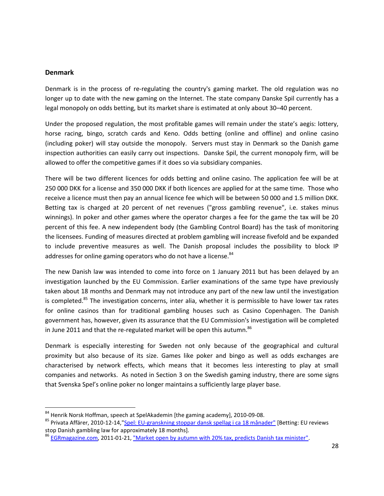#### **Denmark**

l

Denmark is in the process of re-regulating the country's gaming market. The old regulation was no longer up to date with the new gaming on the Internet. The state company Danske Spil currently has a legal monopoly on odds betting, but its market share is estimated at only about 30–40 percent.

Under the proposed regulation, the most profitable games will remain under the state's aegis: lottery, horse racing, bingo, scratch cards and Keno. Odds betting (online and offline) and online casino (including poker) will stay outside the monopoly. Servers must stay in Denmark so the Danish game inspection authorities can easily carry out inspections. Danske Spil, the current monopoly firm, will be allowed to offer the competitive games if it does so via subsidiary companies.

There will be two different licences for odds betting and online casino. The application fee will be at 250 000 DKK for a license and 350 000 DKK if both licences are applied for at the same time. Those who receive a licence must then pay an annual licence fee which will be between 50 000 and 1.5 million DKK. Betting tax is charged at 20 percent of net revenues ("gross gambling revenue", i.e. stakes minus winnings). In poker and other games where the operator charges a fee for the game the tax will be 20 percent of this fee. A new independent body (the Gambling Control Board) has the task of monitoring the licensees. Funding of measures directed at problem gambling will increase fivefold and be expanded to include preventive measures as well. The Danish proposal includes the possibility to block IP addresses for online gaming operators who do not have a license.<sup>84</sup>

The new Danish law was intended to come into force on 1 January 2011 but has been delayed by an investigation launched by the EU Commission. Earlier examinations of the same type have previously taken about 18 months and Denmark may not introduce any part of the new law until the investigation is completed.<sup>85</sup> The investigation concerns, inter alia, whether it is permissible to have lower tax rates for online casinos than for traditional gambling houses such as Casino Copenhagen. The Danish government has, however, given its assurance that the EU Commission's investigation will be completed in June 2011 and that the re-regulated market will be open this autumn. $86$ 

Denmark is especially interesting for Sweden not only because of the geographical and cultural proximity but also because of its size. Games like poker and bingo as well as odds exchanges are characterised by network effects, which means that it becomes less interesting to play at small companies and networks. As noted in Section 3 on the Swedish gaming industry, there are some signs that Svenska Spel's online poker no longer maintains a sufficiently large player base.

<sup>&</sup>lt;sup>84</sup> Henrik Norsk Hoffman, speech at SpelAkademin [the gaming academy], 2010-09-08.

<sup>&</sup>lt;sup>85</sup> Privata Affärer, 2010-12-14,["Spel: EU-granskning stoppar dansk spellag i ca 18 månader"](http://www.privataaffarer.se/nyheter/direkt/2010/12/14/spel_eugranskning_stoppar_dansk_spellag_i_ca_18_manader_4549449/) [Betting: EU reviews stop Danish gambling law for approximately 18 months].

<sup>&</sup>lt;sup>86</sup> [EGRmagazine.com,](http://egrmagazine.com/) 2011-01-21[, "Market open by autumn with 20% tax, predicts Danish tax minister".](http://www.egrmagazine.com/news/871487/market-open-by-autumn-with-20-tax-predicts-danish-tax-minister.thtml)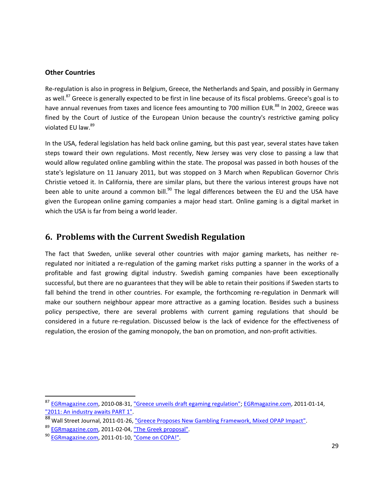#### **Other Countries**

Re-regulation is also in progress in Belgium, Greece, the Netherlands and Spain, and possibly in Germany as well.<sup>87</sup> Greece is generally expected to be first in line because of its fiscal problems. Greece's goal is to have annual revenues from taxes and licence fees amounting to 700 million EUR.<sup>88</sup> In 2002, Greece was fined by the Court of Justice of the European Union because the country's restrictive gaming policy violated EU law.<sup>89</sup>

In the USA, federal legislation has held back online gaming, but this past year, several states have taken steps toward their own regulations. Most recently, New Jersey was very close to passing a law that would allow regulated online gambling within the state. The proposal was passed in both houses of the state's legislature on 11 January 2011, but was stopped on 3 March when Republican Governor Chris Christie vetoed it. In California, there are similar plans, but there the various interest groups have not been able to unite around a common bill.<sup>90</sup> The legal differences between the EU and the USA have given the European online gaming companies a major head start. Online gaming is a digital market in which the USA is far from being a world leader.

### <span id="page-28-0"></span>**6. Problems with the Current Swedish Regulation**

The fact that Sweden, unlike several other countries with major gaming markets, has neither reregulated nor initiated a re-regulation of the gaming market risks putting a spanner in the works of a profitable and fast growing digital industry. Swedish gaming companies have been exceptionally successful, but there are no guarantees that they will be able to retain their positions if Sweden starts to fall behind the trend in other countries. For example, the forthcoming re-regulation in Denmark will make our southern neighbour appear more attractive as a gaming location. Besides such a business policy perspective, there are several problems with current gaming regulations that should be considered in a future re-regulation. Discussed below is the lack of evidence for the effectiveness of regulation, the erosion of the gaming monopoly, the ban on promotion, and non-profit activities.

<sup>87</sup> [EGRmagazine.com,](http://egrmagazine.com/) 2010-08-31, ["Greece unveils draft egaming regulation";](http://www.egrmagazine.com/news/585682/news-in-brief-greece-unveils-draft-egaming-regulation-netplay-tv-launches-app.thtml) [EGRmagazine.com,](http://egrmagazine.com/) 2011-01-14, ["2011: An industry awaits PART 1".](http://www.egrmagazine.com/features/869722/2011-an-industry-awaits-part-1.thtml)

<sup>88</sup> Wall Street Journal, 2011-01-26, ["Greece Proposes New Gambling Framework, Mixed OPAP Impact".](http://online.wsj.com/article/BT-CO-20110126-703087.html)

<sup>89</sup> [EGRmagazine.com,](http://egrmagazine.com/) 2011-02-04, ["The Greek proposal".](http://www.egrmagazine.com/blog/875137/the-greek-proposal.thtml)

<sup>90</sup> [EGRmagazine.com,](http://egrmagazine.com/) 2011-01-10, ["Come on COPA!".](http://www.egrmagazine.com/blog/868372/come-on-copa.thtml)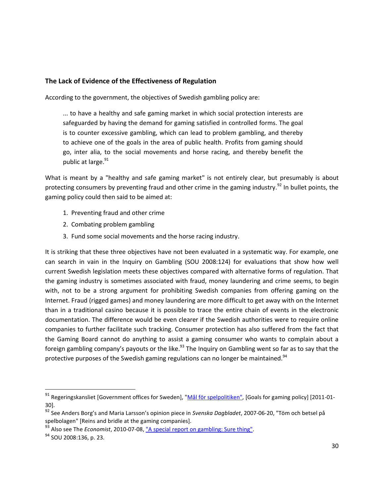#### **The Lack of Evidence of the Effectiveness of Regulation**

According to the government, the objectives of Swedish gambling policy are:

... to have a healthy and safe gaming market in which social protection interests are safeguarded by having the demand for gaming satisfied in controlled forms. The goal is to counter excessive gambling, which can lead to problem gambling, and thereby to achieve one of the goals in the area of public health. Profits from gaming should go, inter alia, to the social movements and horse racing, and thereby benefit the public at large.<sup>91</sup>

What is meant by a "healthy and safe gaming market" is not entirely clear, but presumably is about protecting consumers by preventing fraud and other crime in the gaming industry.<sup>92</sup> In bullet points, the gaming policy could then said to be aimed at:

- 1. Preventing fraud and other crime
- 2. Combating problem gambling
- 3. Fund some social movements and the horse racing industry.

It is striking that these three objectives have not been evaluated in a systematic way. For example, one can search in vain in the Inquiry on Gambling (SOU 2008:124) for evaluations that show how well current Swedish legislation meets these objectives compared with alternative forms of regulation. That the gaming industry is sometimes associated with fraud, money laundering and crime seems, to begin with, not to be a strong argument for prohibiting Swedish companies from offering gaming on the Internet. Fraud (rigged games) and money laundering are more difficult to get away with on the Internet than in a traditional casino because it is possible to trace the entire chain of events in the electronic documentation. The difference would be even clearer if the Swedish authorities were to require online companies to further facilitate such tracking. Consumer protection has also suffered from the fact that the Gaming Board cannot do anything to assist a gaming consumer who wants to complain about a foreign gambling company's payouts or the like.<sup>93</sup> The Inquiry on Gambling went so far as to say that the protective purposes of the Swedish gaming regulations can no longer be maintained.<sup>94</sup>

l

<sup>&</sup>lt;sup>91</sup> Regeringskansliet [Government offices for Sweden], ["Mål för spelpolitiken",](http://www.sweden.gov.se/sb/d/5820/a/48777) [Goals for gaming policy] [2011-01-30].

<sup>92</sup> See Anders Borg's and Maria Larsson's opinion piece in *Svenska Dagbladet*, 2007-06-20, "Töm och betsel på spelbolagen" [Reins and bridle at the gaming companies].

<sup>93</sup> Also see The *Economist*, 2010-07-08[, "A special report on gambling: Sure thing".](http://www.economist.com/node/16507728)

<sup>94</sup> SOU 2008:136, p. 23.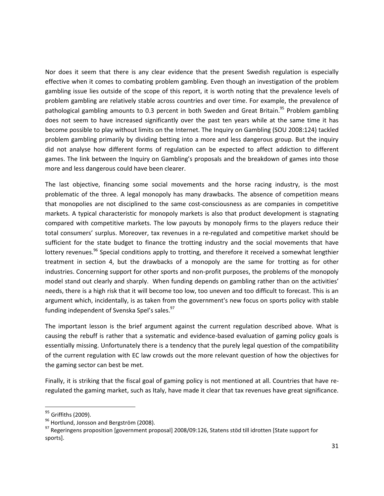Nor does it seem that there is any clear evidence that the present Swedish regulation is especially effective when it comes to combating problem gambling. Even though an investigation of the problem gambling issue lies outside of the scope of this report, it is worth noting that the prevalence levels of problem gambling are relatively stable across countries and over time. For example, the prevalence of pathological gambling amounts to 0.3 percent in both Sweden and Great Britain. <sup>95</sup> Problem gambling does not seem to have increased significantly over the past ten years while at the same time it has become possible to play without limits on the Internet. The Inquiry on Gambling (SOU 2008:124) tackled problem gambling primarily by dividing betting into a more and less dangerous group. But the inquiry did not analyse how different forms of regulation can be expected to affect addiction to different games. The link between the Inquiry on Gambling's proposals and the breakdown of games into those more and less dangerous could have been clearer.

The last objective, financing some social movements and the horse racing industry, is the most problematic of the three. A legal monopoly has many drawbacks. The absence of competition means that monopolies are not disciplined to the same cost-consciousness as are companies in competitive markets. A typical characteristic for monopoly markets is also that product development is stagnating compared with competitive markets. The low payouts by monopoly firms to the players reduce their total consumers' surplus. Moreover, tax revenues in a re-regulated and competitive market should be sufficient for the state budget to finance the trotting industry and the social movements that have lottery revenues.<sup>96</sup> Special conditions apply to trotting, and therefore it received a somewhat lengthier treatment in section 4, but the drawbacks of a monopoly are the same for trotting as for other industries. Concerning support for other sports and non-profit purposes, the problems of the monopoly model stand out clearly and sharply. When funding depends on gambling rather than on the activities' needs, there is a high risk that it will become too low, too uneven and too difficult to forecast. This is an argument which, incidentally, is as taken from the government's new focus on sports policy with stable funding independent of Svenska Spel's sales.<sup>97</sup>

The important lesson is the brief argument against the current regulation described above. What is causing the rebuff is rather that a systematic and evidence-based evaluation of gaming policy goals is essentially missing. Unfortunately there is a tendency that the purely legal question of the compatibility of the current regulation with EC law crowds out the more relevant question of how the objectives for the gaming sector can best be met.

Finally, it is striking that the fiscal goal of gaming policy is not mentioned at all. Countries that have reregulated the gaming market, such as Italy, have made it clear that tax revenues have great significance.

<sup>&</sup>lt;sup>95</sup> Griffiths (2009).

<sup>96</sup> Hortlund, Jonsson and Bergström (2008).

<sup>97</sup> Regeringens proposition [government proposal] 2008/09:126, Statens stöd till idrotten [State support for sports].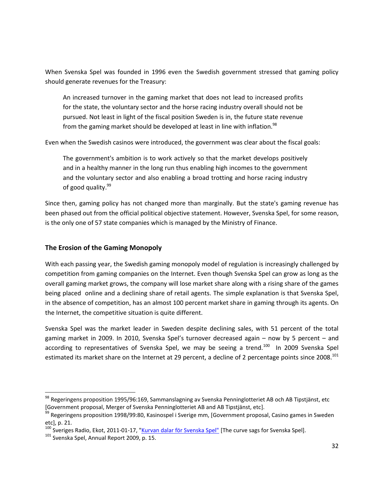When Svenska Spel was founded in 1996 even the Swedish government stressed that gaming policy should generate revenues for the Treasury:

An increased turnover in the gaming market that does not lead to increased profits for the state, the voluntary sector and the horse racing industry overall should not be pursued. Not least in light of the fiscal position Sweden is in, the future state revenue from the gaming market should be developed at least in line with inflation.<sup>98</sup>

Even when the Swedish casinos were introduced, the government was clear about the fiscal goals:

The government's ambition is to work actively so that the market develops positively and in a healthy manner in the long run thus enabling high incomes to the government and the voluntary sector and also enabling a broad trotting and horse racing industry of good quality.<sup>99</sup>

Since then, gaming policy has not changed more than marginally. But the state's gaming revenue has been phased out from the official political objective statement. However, Svenska Spel, for some reason, is the only one of 57 state companies which is managed by the Ministry of Finance.

#### **The Erosion of the Gaming Monopoly**

With each passing year, the Swedish gaming monopoly model of regulation is increasingly challenged by competition from gaming companies on the Internet. Even though Svenska Spel can grow as long as the overall gaming market grows, the company will lose market share along with a rising share of the games being placed online and a declining share of retail agents. The simple explanation is that Svenska Spel, in the absence of competition, has an almost 100 percent market share in gaming through its agents. On the Internet, the competitive situation is quite different.

Svenska Spel was the market leader in Sweden despite declining sales, with 51 percent of the total gaming market in 2009. In 2010, Svenska Spel's turnover decreased again – now by 5 percent – and according to representatives of Svenska Spel, we may be seeing a trend.<sup>100</sup> In 2009 Svenska Spel estimated its market share on the Internet at 29 percent, a decline of 2 percentage points since 2008.<sup>101</sup>

l

<sup>98</sup> Regeringens proposition 1995/96:169, Sammanslagning av Svenska Penninglotteriet AB och AB Tipstjänst, etc [Government proposal, Merger of Svenska Penninglotteriet AB and AB Tipstjänst, etc].

<sup>&</sup>lt;sup>99</sup> Regeringens proposition 1998/99:80, Kasinospel i Sverige mm, [Government proposal, Casino games in Sweden etc], p. 21.

<sup>&</sup>lt;sup>100</sup> Sveriges Radio, Ekot, 2011-01-17, ["Kurvan dalar för Svenska Spel"](http://sverigesradio.se/sida/artikel.aspx?programid=83&artikel=4296783) [The curve sags for Svenska Spel].

<sup>&</sup>lt;sup>101</sup> Svenska Spel, Annual Report 2009, p. 15.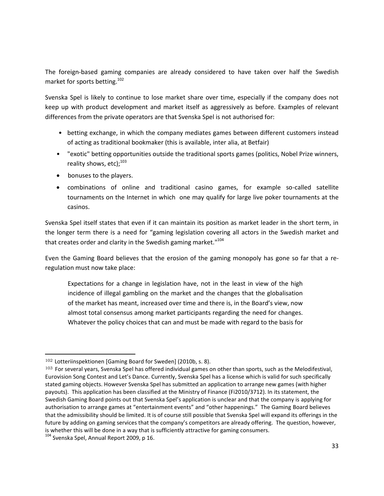The foreign-based gaming companies are already considered to have taken over half the Swedish market for sports betting.<sup>102</sup>

Svenska Spel is likely to continue to lose market share over time, especially if the company does not keep up with product development and market itself as aggressively as before. Examples of relevant differences from the private operators are that Svenska Spel is not authorised for:

- betting exchange, in which the company mediates games between different customers instead of acting as traditional bookmaker (this is available, inter alia, at Betfair)
- "exotic" betting opportunities outside the traditional sports games (politics, Nobel Prize winners, reality shows, etc);<sup>103</sup>
- bonuses to the players.
- combinations of online and traditional casino games, for example so-called satellite tournaments on the Internet in which one may qualify for large live poker tournaments at the casinos.

Svenska Spel itself states that even if it can maintain its position as market leader in the short term, in the longer term there is a need for "gaming legislation covering all actors in the Swedish market and that creates order and clarity in the Swedish gaming market."<sup>104</sup>

Even the Gaming Board believes that the erosion of the gaming monopoly has gone so far that a reregulation must now take place:

Expectations for a change in legislation have, not in the least in view of the high incidence of illegal gambling on the market and the changes that the globalisation of the market has meant, increased over time and there is, in the Board's view, now almost total consensus among market participants regarding the need for changes. Whatever the policy choices that can and must be made with regard to the basis for

<sup>102</sup> Lotteriinspektionen [Gaming Board for Sweden] (2010b, s. 8).

<sup>103</sup> For several years, Svenska Spel has offered individual games on other than sports, such as the Melodifestival, Eurovision Song Contest and Let's Dance. Currently, Svenska Spel has a license which is valid for such specifically stated gaming objects. However Svenska Spel has submitted an application to arrange new games (with higher payouts). This application has been classified at the Ministry of Finance (Fi2010/3712). In its statement, the Swedish Gaming Board points out that Svenska Spel's application is unclear and that the company is applying for authorisation to arrange games at "entertainment events" and "other happenings." The Gaming Board believes that the admissibility should be limited. It is of course still possible that Svenska Spel will expand its offerings in the future by adding on gaming services that the company's competitors are already offering. The question, however, is whether this will be done in a way that is sufficiently attractive for gaming consumers.

<sup>&</sup>lt;sup>104</sup> Svenska Spel, Annual Report 2009, p 16.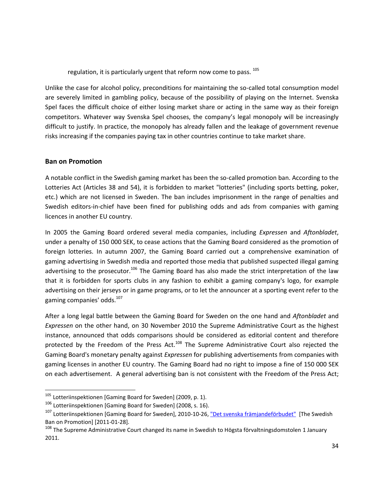regulation, it is particularly urgent that reform now come to pass. <sup>105</sup>

Unlike the case for alcohol policy, preconditions for maintaining the so-called total consumption model are severely limited in gambling policy, because of the possibility of playing on the Internet. Svenska Spel faces the difficult choice of either losing market share or acting in the same way as their foreign competitors. Whatever way Svenska Spel chooses, the company's legal monopoly will be increasingly difficult to justify. In practice, the monopoly has already fallen and the leakage of government revenue risks increasing if the companies paying tax in other countries continue to take market share.

#### **Ban on Promotion**

 $\overline{\phantom{a}}$ 

A notable conflict in the Swedish gaming market has been the so-called promotion ban. According to the Lotteries Act (Articles 38 and 54), it is forbidden to market "lotteries" (including sports betting, poker, etc.) which are not licensed in Sweden. The ban includes imprisonment in the range of penalties and Swedish editors-in-chief have been fined for publishing odds and ads from companies with gaming licences in another EU country.

In 2005 the Gaming Board ordered several media companies, including *Expressen* and *Aftonbladet*, under a penalty of 150 000 SEK, to cease actions that the Gaming Board considered as the promotion of foreign lotteries. In autumn 2007, the Gaming Board carried out a comprehensive examination of gaming advertising in Swedish media and reported those media that published suspected illegal gaming advertising to the prosecutor.<sup>106</sup> The Gaming Board has also made the strict interpretation of the law that it is forbidden for sports clubs in any fashion to exhibit a gaming company's logo, for example advertising on their jerseys or in game programs, or to let the announcer at a sporting event refer to the gaming companies' odds.<sup>107</sup>

After a long legal battle between the Gaming Board for Sweden on the one hand and *Aftonbladet* and *Expressen* on the other hand, on 30 November 2010 the Supreme Administrative Court as the highest instance, announced that odds comparisons should be considered as editorial content and therefore protected by the Freedom of the Press Act.<sup>108</sup> The Supreme Administrative Court also rejected the Gaming Board's monetary penalty against *Expressen* for publishing advertisements from companies with gaming licenses in another EU country. The Gaming Board had no right to impose a fine of 150 000 SEK on each advertisement. A general advertising ban is not consistent with the Freedom of the Press Act;

 $105$  Lotteriinspektionen [Gaming Board for Sweden] (2009, p. 1).

<sup>106</sup> Lotteriinspektionen [Gaming Board for Sweden] (2008, s. 16).

<sup>&</sup>lt;sup>107</sup> Lotteriinspektionen [Gaming Board for Sweden], 2010-10-26[, "Det svenska främjandeförbudet"](http://www.lotteriinsp.se/Global/Det%20svenska%20fr%C3%A4mjandef%C3%B6rbudet.pdf) [The Swedish Ban on Promotion] [2011-01-28].

<sup>&</sup>lt;sup>108</sup> The Supreme Administrative Court changed its name in Swedish to Högsta förvaltningsdomstolen 1 January 2011.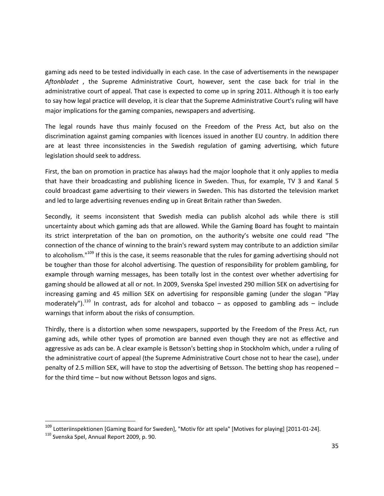gaming ads need to be tested individually in each case. In the case of advertisements in the newspaper *Aftonbladet* , the Supreme Administrative Court, however, sent the case back for trial in the administrative court of appeal. That case is expected to come up in spring 2011. Although it is too early to say how legal practice will develop, it is clear that the Supreme Administrative Court's ruling will have major implications for the gaming companies, newspapers and advertising.

The legal rounds have thus mainly focused on the Freedom of the Press Act, but also on the discrimination against gaming companies with licences issued in another EU country. In addition there are at least three inconsistencies in the Swedish regulation of gaming advertising, which future legislation should seek to address.

First, the ban on promotion in practice has always had the major loophole that it only applies to media that have their broadcasting and publishing licence in Sweden. Thus, for example, TV 3 and Kanal 5 could broadcast game advertising to their viewers in Sweden. This has distorted the television market and led to large advertising revenues ending up in Great Britain rather than Sweden.

Secondly, it seems inconsistent that Swedish media can publish alcohol ads while there is still uncertainty about which gaming ads that are allowed. While the Gaming Board has fought to maintain its strict interpretation of the ban on promotion, on the authority's website one could read "The connection of the chance of winning to the brain's reward system may contribute to an addiction similar to alcoholism."<sup>109</sup> If this is the case, it seems reasonable that the rules for gaming advertising should not be tougher than those for alcohol advertising. The question of responsibility for problem gambling, for example through warning messages, has been totally lost in the contest over whether advertising for gaming should be allowed at all or not. In 2009, Svenska Spel invested 290 million SEK on advertising for increasing gaming and 45 million SEK on advertising for responsible gaming (under the slogan "Play moderately").<sup>110</sup> In contrast, ads for alcohol and tobacco – as opposed to gambling ads – include warnings that inform about the risks of consumption.

Thirdly, there is a distortion when some newspapers, supported by the Freedom of the Press Act, run gaming ads, while other types of promotion are banned even though they are not as effective and aggressive as ads can be. A clear example is Betsson's betting shop in Stockholm which, under a ruling of the administrative court of appeal (the Supreme Administrative Court chose not to hear the case), under penalty of 2.5 million SEK, will have to stop the advertising of Betsson. The betting shop has reopened – for the third time – but now without Betsson logos and signs.

l

<sup>&</sup>lt;sup>109</sup> Lotteriinspektionen [Gaming Board for Sweden], "Motiv för att spela" [Motives for playing] [2011-01-24].

<sup>110</sup> Svenska Spel, Annual Report 2009, p. 90.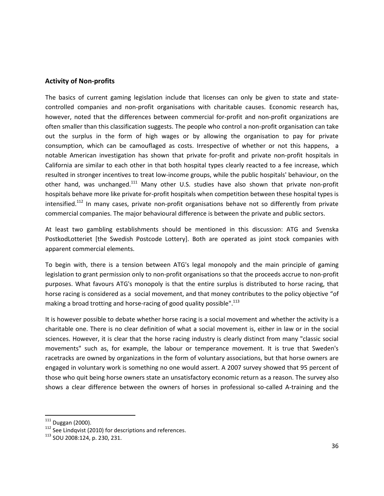#### **Activity of Non-profits**

The basics of current gaming legislation include that licenses can only be given to state and statecontrolled companies and non-profit organisations with charitable causes. Economic research has, however, noted that the differences between commercial for-profit and non-profit organizations are often smaller than this classification suggests. The people who control a non-profit organisation can take out the surplus in the form of high wages or by allowing the organisation to pay for private consumption, which can be camouflaged as costs. Irrespective of whether or not this happens, a notable American investigation has shown that private for-profit and private non-profit hospitals in California are similar to each other in that both hospital types clearly reacted to a fee increase, which resulted in stronger incentives to treat low-income groups, while the public hospitals' behaviour, on the other hand, was unchanged.<sup>111</sup> Many other U.S. studies have also shown that private non-profit hospitals behave more like private for-profit hospitals when competition between these hospital types is intensified.<sup>112</sup> In many cases, private non-profit organisations behave not so differently from private commercial companies. The major behavioural difference is between the private and public sectors.

At least two gambling establishments should be mentioned in this discussion: ATG and Svenska PostkodLotteriet [the Swedish Postcode Lottery]. Both are operated as joint stock companies with apparent commercial elements.

To begin with, there is a tension between ATG's legal monopoly and the main principle of gaming legislation to grant permission only to non-profit organisations so that the proceeds accrue to non-profit purposes. What favours ATG's monopoly is that the entire surplus is distributed to horse racing, that horse racing is considered as a social movement, and that money contributes to the policy objective "of making a broad trotting and horse-racing of good quality possible".<sup>113</sup>

It is however possible to debate whether horse racing is a social movement and whether the activity is a charitable one. There is no clear definition of what a social movement is, either in law or in the social sciences. However, it is clear that the horse racing industry is clearly distinct from many "classic social movements" such as, for example, the labour or temperance movement. It is true that Sweden's racetracks are owned by organizations in the form of voluntary associations, but that horse owners are engaged in voluntary work is something no one would assert. A 2007 survey showed that 95 percent of those who quit being horse owners state an unsatisfactory economic return as a reason. The survey also shows a clear difference between the owners of horses in professional so-called A-training and the

<sup>&</sup>lt;sup>111</sup> Duggan (2000).

<sup>&</sup>lt;sup>112</sup> See Lindqvist (2010) for descriptions and references.

<sup>113</sup> SOU 2008:124, p. 230, 231.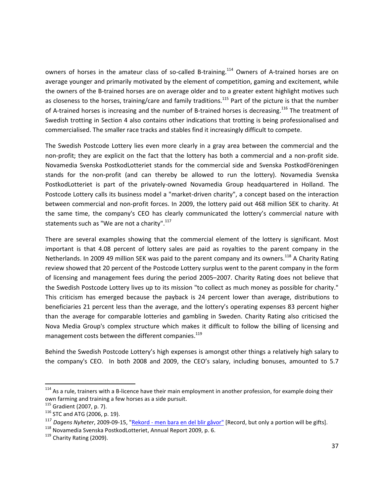owners of horses in the amateur class of so-called B-training.<sup>114</sup> Owners of A-trained horses are on average younger and primarily motivated by the element of competition, gaming and excitement, while the owners of the B-trained horses are on average older and to a greater extent highlight motives such as closeness to the horses, training/care and family traditions.<sup>115</sup> Part of the picture is that the number of A-trained horses is increasing and the number of B-trained horses is decreasing.<sup>116</sup> The treatment of Swedish trotting in Section 4 also contains other indications that trotting is being professionalised and commercialised. The smaller race tracks and stables find it increasingly difficult to compete.

The Swedish Postcode Lottery lies even more clearly in a gray area between the commercial and the non-profit; they are explicit on the fact that the lottery has both a commercial and a non-profit side. Novamedia Svenska PostkodLotteriet stands for the commercial side and Svenska PostkodFöreningen stands for the non-profit (and can thereby be allowed to run the lottery). Novamedia Svenska PostkodLotteriet is part of the privately-owned Novamedia Group headquartered in Holland. The Postcode Lottery calls its business model a "market-driven charity", a concept based on the interaction between commercial and non-profit forces. In 2009, the lottery paid out 468 million SEK to charity. At the same time, the company's CEO has clearly communicated the lottery's commercial nature with statements such as "We are not a charity". $117$ 

There are several examples showing that the commercial element of the lottery is significant. Most important is that 4.08 percent of lottery sales are paid as royalties to the parent company in the Netherlands. In 2009 49 million SEK was paid to the parent company and its owners.<sup>118</sup> A Charity Rating review showed that 20 percent of the Postcode Lottery surplus went to the parent company in the form of licensing and management fees during the period 2005–2007. Charity Rating does not believe that the Swedish Postcode Lottery lives up to its mission "to collect as much money as possible for charity." This criticism has emerged because the payback is 24 percent lower than average, distributions to beneficiaries 21 percent less than the average, and the lottery's operating expenses 83 percent higher than the average for comparable lotteries and gambling in Sweden. Charity Rating also criticised the Nova Media Group's complex structure which makes it difficult to follow the billing of licensing and management costs between the different companies.<sup>119</sup>

Behind the Swedish Postcode Lottery's high expenses is amongst other things a relatively high salary to the company's CEO. In both 2008 and 2009, the CEO's salary, including bonuses, amounted to 5.7

<sup>&</sup>lt;sup>114</sup> As a rule, trainers with a B-licence have their main employment in another profession, for example doing their own farming and training a few horses as a side pursuit.

<sup>115</sup> Gradient (2007, p. 7).

 $116$  STC and ATG (2006, p. 19).

<sup>&</sup>lt;sup>117</sup> Dagens Nyheter, 2009-09-15, "<u>Rekord - [men bara en del blir gåvor"](http://www.dn.se/ekonomi/rekord--men-bara-en-del-blir-gavor-)</u> [Record, but only a portion will be gifts].

<sup>&</sup>lt;sup>118</sup> Novamedia Svenska PostkodLotteriet, Annual Report 2009, p. 6.

<sup>&</sup>lt;sup>119</sup> Charity Rating (2009).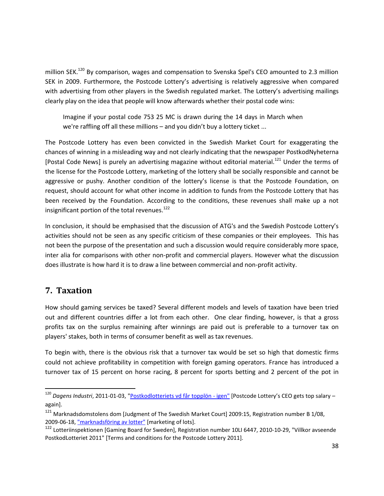million SEK.<sup>120</sup> By comparison, wages and compensation to Svenska Spel's CEO amounted to 2.3 million SEK in 2009. Furthermore, the Postcode Lottery's advertising is relatively aggressive when compared with advertising from other players in the Swedish regulated market. The Lottery's advertising mailings clearly play on the idea that people will know afterwards whether their postal code wins:

Imagine if your postal code 753 25 MC is drawn during the 14 days in March when we're raffling off all these millions – and you didn't buy a lottery ticket ...

The Postcode Lottery has even been convicted in the Swedish Market Court for exaggerating the chances of winning in a misleading way and not clearly indicating that the newspaper PostkodNyheterna [Postal Code News] is purely an advertising magazine without editorial material.<sup>121</sup> Under the terms of the license for the Postcode Lottery, marketing of the lottery shall be socially responsible and cannot be aggressive or pushy. Another condition of the lottery's license is that the Postcode Foundation, on request, should account for what other income in addition to funds from the Postcode Lottery that has been received by the Foundation. According to the conditions, these revenues shall make up a not insignificant portion of the total revenues.<sup>122</sup>

In conclusion, it should be emphasised that the discussion of ATG's and the Swedish Postcode Lottery's activities should not be seen as any specific criticism of these companies or their employees. This has not been the purpose of the presentation and such a discussion would require considerably more space, inter alia for comparisons with other non-profit and commercial players. However what the discussion does illustrate is how hard it is to draw a line between commercial and non-profit activity.

# <span id="page-37-0"></span>**7. Taxation**

 $\overline{a}$ 

How should gaming services be taxed? Several different models and levels of taxation have been tried out and different countries differ a lot from each other. One clear finding, however, is that a gross profits tax on the surplus remaining after winnings are paid out is preferable to a turnover tax on players' stakes, both in terms of consumer benefit as well as tax revenues.

To begin with, there is the obvious risk that a turnover tax would be set so high that domestic firms could not achieve profitability in competition with foreign gaming operators. France has introduced a turnover tax of 15 percent on horse racing, 8 percent for sports betting and 2 percent of the pot in

<sup>&</sup>lt;sup>120</sup> Dagens Industri, 2011-01-03, "<u>Postkodlotteriets vd får topplön - igen"</u> [Postcode Lottery's CEO gets top salary – again].

<sup>121</sup> Marknadsdomstolens dom [Judgment of The Swedish Market Court] 2009:15, Registration number B 1/08, 2009-06-18[, "marknadsföring av lotter"](http://www.konsumentverket.se/Global/Konsumentverket.se/Lag%20och%20r%C3%A4tt/Dokument/Domar/ko_postkodlotteriet_090618.pdf) [marketing of lots].

<sup>&</sup>lt;sup>122</sup> Lotteriinspektionen [Gaming Board for Sweden], Registration number 10LI 6447, 2010-10-29, "Villkor avseende PostkodLotteriet 2011" [Terms and conditions for the Postcode Lottery 2011].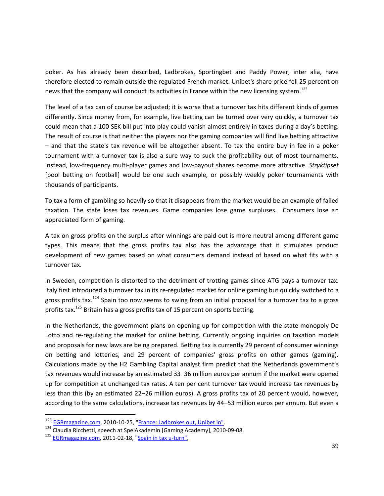poker. As has already been described, Ladbrokes, Sportingbet and Paddy Power, inter alia, have therefore elected to remain outside the regulated French market. Unibet's share price fell 25 percent on news that the company will conduct its activities in France within the new licensing system.<sup>123</sup>

The level of a tax can of course be adjusted; it is worse that a turnover tax hits different kinds of games differently. Since money from, for example, live betting can be turned over very quickly, a turnover tax could mean that a 100 SEK bill put into play could vanish almost entirely in taxes during a day's betting. The result of course is that neither the players nor the gaming companies will find live betting attractive – and that the state's tax revenue will be altogether absent. To tax the entire buy in fee in a poker tournament with a turnover tax is also a sure way to suck the profitability out of most tournaments. Instead, low-frequency multi-player games and low-payout shares become more attractive. *Stryktipset* [pool betting on football] would be one such example, or possibly weekly poker tournaments with thousands of participants.

To tax a form of gambling so heavily so that it disappears from the market would be an example of failed taxation. The state loses tax revenues. Game companies lose game surpluses. Consumers lose an appreciated form of gaming.

A tax on gross profits on the surplus after winnings are paid out is more neutral among different game types. This means that the gross profits tax also has the advantage that it stimulates product development of new games based on what consumers demand instead of based on what fits with a turnover tax.

In Sweden, competition is distorted to the detriment of trotting games since ATG pays a turnover tax. Italy first introduced a turnover tax in its re-regulated market for online gaming but quickly switched to a gross profits tax.<sup>124</sup> Spain too now seems to swing from an initial proposal for a turnover tax to a gross profits tax.<sup>125</sup> Britain has a gross profits tax of 15 percent on sports betting.

In the Netherlands, the government plans on opening up for competition with the state monopoly De Lotto and re-regulating the market for online betting. Currently ongoing inquiries on taxation models and proposals for new laws are being prepared. Betting tax is currently 29 percent of consumer winnings on betting and lotteries, and 29 percent of companies' gross profits on other games (gaming). Calculations made by the H2 Gambling Capital analyst firm predict that the Netherlands government's tax revenues would increase by an estimated 33–36 million euros per annum if the market were opened up for competition at unchanged tax rates. A ten per cent turnover tax would increase tax revenues by less than this (by an estimated 22–26 million euros). A gross profits tax of 20 percent would, however, according to the same calculations, increase tax revenues by 44–53 million euros per annum. But even a

<sup>&</sup>lt;sup>123</sup> [EGRmagazine.com,](http://egrmagazine.com/) 2010-10-25, ["France: Ladbrokes out, Unibet in".](http://www.egrmagazine.com/news/598052/france-ladbrokes-out-unibet-in.thtml)

<sup>&</sup>lt;sup>124</sup> Claudia Ricchetti, speech at SpelAkademin [Gaming Academy], 2010-09-08.

<sup>&</sup>lt;sup>125</sup> [EGRmagazine.com,](http://egrmagazine.com/) 2011-02-18, ["Spain in tax u-turn",](http://www.egrmagazine.com/news/876467/spain-in-tax-uturn.thtml)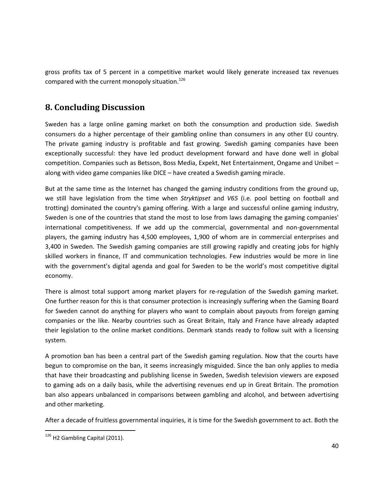gross profits tax of 5 percent in a competitive market would likely generate increased tax revenues compared with the current monopoly situation.<sup>126</sup>

# <span id="page-39-0"></span>**8. Concluding Discussion**

Sweden has a large online gaming market on both the consumption and production side. Swedish consumers do a higher percentage of their gambling online than consumers in any other EU country. The private gaming industry is profitable and fast growing. Swedish gaming companies have been exceptionally successful: they have led product development forward and have done well in global competition. Companies such as Betsson, Boss Media, Expekt, Net Entertainment, Ongame and Unibet – along with video game companies like DICE – have created a Swedish gaming miracle.

But at the same time as the Internet has changed the gaming industry conditions from the ground up, we still have legislation from the time when *Stryktipset* and *V65* (i.e. pool betting on football and trotting) dominated the country's gaming offering. With a large and successful online gaming industry, Sweden is one of the countries that stand the most to lose from laws damaging the gaming companies' international competitiveness. If we add up the commercial, governmental and non-governmental players, the gaming industry has 4,500 employees, 1,900 of whom are in commercial enterprises and 3,400 in Sweden. The Swedish gaming companies are still growing rapidly and creating jobs for highly skilled workers in finance, IT and communication technologies. Few industries would be more in line with the government's digital agenda and goal for Sweden to be the world's most competitive digital economy.

There is almost total support among market players for re-regulation of the Swedish gaming market. One further reason for this is that consumer protection is increasingly suffering when the Gaming Board for Sweden cannot do anything for players who want to complain about payouts from foreign gaming companies or the like. Nearby countries such as Great Britain, Italy and France have already adapted their legislation to the online market conditions. Denmark stands ready to follow suit with a licensing system.

A promotion ban has been a central part of the Swedish gaming regulation. Now that the courts have begun to compromise on the ban, it seems increasingly misguided. Since the ban only applies to media that have their broadcasting and publishing license in Sweden, Swedish television viewers are exposed to gaming ads on a daily basis, while the advertising revenues end up in Great Britain. The promotion ban also appears unbalanced in comparisons between gambling and alcohol, and between advertising and other marketing.

After a decade of fruitless governmental inquiries, it is time for the Swedish government to act. Both the

<sup>&</sup>lt;sup>126</sup> H2 Gambling Capital (2011).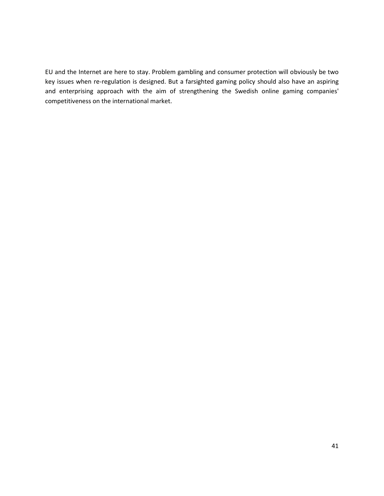EU and the Internet are here to stay. Problem gambling and consumer protection will obviously be two key issues when re-regulation is designed. But a farsighted gaming policy should also have an aspiring and enterprising approach with the aim of strengthening the Swedish online gaming companies' competitiveness on the international market.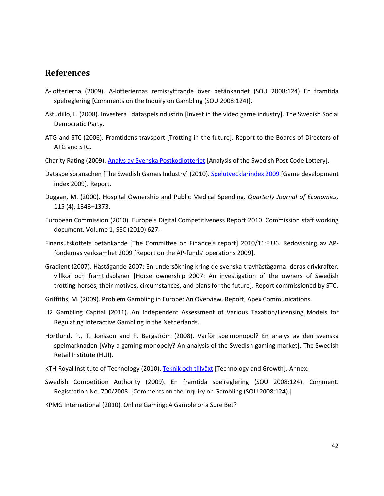### <span id="page-41-0"></span>**References**

- A-lotterierna (2009). A-lotteriernas remissyttrande över betänkandet (SOU 2008:124) En framtida spelreglering [Comments on the Inquiry on Gambling (SOU 2008:124)].
- Astudillo, L. (2008). Investera i dataspelsindustrin [Invest in the video game industry]. The Swedish Social Democratic Party.
- ATG and STC (2006). Framtidens travsport [Trotting in the future]. Report to the Boards of Directors of ATG and STC.
- Charity Rating (2009)[. Analys av Svenska Postkodlotteriet](http://www.charityrating.org/images/documents/analyser_och_rapporter/charity_rating_analys_av_svenska_postkodlotteriet.pdf) [Analysis of the Swedish Post Code Lottery].
- Dataspelsbranschen [The Swedish Games Industry] (2010)[. Spelutvecklarindex 2009](http://www.dataspelsbranschen.se/media/112355/dsb_utvecklarindex09-screen.pdf) [Game development index 2009]. Report.
- Duggan, M. (2000). Hospital Ownership and Public Medical Spending. *Quarterly Journal of Economics,* 115 (4), 1343–1373.
- European Commission (2010). Europe's Digital Competitiveness Report 2010. Commission staff working document, Volume 1, SEC (2010) 627.
- Finansutskottets betänkande [The Committee on Finance's report] 2010/11:FiU6. Redovisning av APfondernas verksamhet 2009 [Report on the AP-funds' operations 2009].
- Gradient (2007). Hästägande 2007: En undersökning kring de svenska travhästägarna, deras drivkrafter, villkor och framtidsplaner [Horse ownership 2007: An investigation of the owners of Swedish trotting-horses, their motives, circumstances, and plans for the future]. Report commissioned by STC.
- Griffiths, M. (2009). Problem Gambling in Europe: An Overview. Report, Apex Communications.
- H2 Gambling Capital (2011). An Independent Assessment of Various Taxation/Licensing Models for Regulating Interactive Gambling in the Netherlands.
- Hortlund, P., T. Jonsson and F. Bergström (2008). Varför spelmonopol? En analys av den svenska spelmarknaden [Why a gaming monopoly? An analysis of the Swedish gaming market]. The Swedish Retail Institute (HUI).
- KTH Royal Institute of Technology (2010). [Teknik och tillväxt](http://www.kth.se/polopoly_fs/1.70223!KTH_ToT_bilaga_2010.pdf) [Technology and Growth]. Annex.
- Swedish Competition Authority (2009). En framtida spelreglering (SOU 2008:124). Comment. Registration No. 700/2008. [Comments on the Inquiry on Gambling (SOU 2008:124).]
- KPMG International (2010). Online Gaming: A Gamble or a Sure Bet?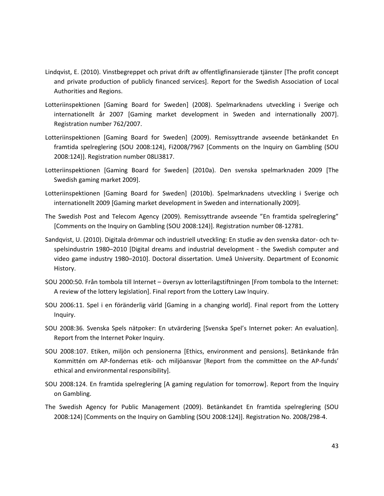- Lindqvist, E. (2010). Vinstbegreppet och privat drift av offentligfinansierade tjänster [The profit concept and private production of publicly financed services]. Report for the Swedish Association of Local Authorities and Regions.
- Lotteriinspektionen [Gaming Board for Sweden] (2008). Spelmarknadens utveckling i Sverige och internationellt år 2007 [Gaming market development in Sweden and internationally 2007]. Registration number 762/2007.
- Lotteriinspektionen [Gaming Board for Sweden] (2009). Remissyttrande avseende betänkandet En framtida spelreglering (SOU 2008:124), Fi2008/7967 [Comments on the Inquiry on Gambling (SOU 2008:124)]. Registration number 08LI3817.
- Lotteriinspektionen [Gaming Board for Sweden] (2010a). Den svenska spelmarknaden 2009 [The Swedish gaming market 2009].
- Lotteriinspektionen [Gaming Board for Sweden] (2010b). Spelmarknadens utveckling i Sverige och internationellt 2009 [Gaming market development in Sweden and internationally 2009].
- The Swedish Post and Telecom Agency (2009). Remissyttrande avseende "En framtida spelreglering" [Comments on the Inquiry on Gambling (SOU 2008:124)]. Registration number 08-12781.
- Sandqvist, U. (2010). Digitala drömmar och industriell utveckling: En studie av den svenska dator- och tvspelsindustrin 1980–2010 [Digital dreams and industrial development - the Swedish computer and video game industry 1980–2010]. Doctoral dissertation. Umeå University. Department of Economic History.
- SOU 2000:50. Från tombola till Internet översyn av lotterilagstiftningen [From tombola to the Internet: A review of the lottery legislation]. Final report from the Lottery Law Inquiry.
- SOU 2006:11. Spel i en föränderlig värld [Gaming in a changing world]. Final report from the Lottery Inquiry.
- SOU 2008:36. Svenska Spels nätpoker: En utvärdering [Svenska Spel's Internet poker: An evaluation]. Report from the Internet Poker Inquiry.
- SOU 2008:107. Etiken, miljön och pensionerna [Ethics, environment and pensions]. Betänkande från Kommittén om AP-fondernas etik- och miljöansvar [Report from the committee on the AP-funds' ethical and environmental responsibility].
- SOU 2008:124. En framtida spelreglering [A gaming regulation for tomorrow]. Report from the Inquiry on Gambling.
- The Swedish Agency for Public Management (2009). Betänkandet En framtida spelreglering (SOU 2008:124) [Comments on the Inquiry on Gambling (SOU 2008:124)]. Registration No. 2008/298-4.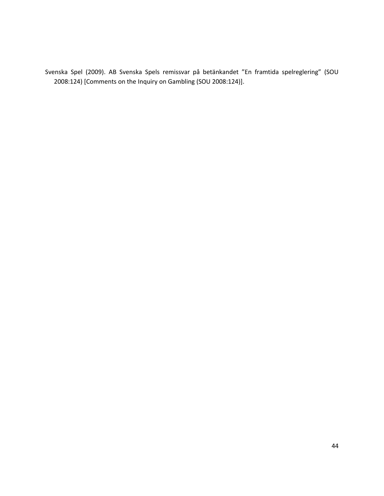Svenska Spel (2009). AB Svenska Spels remissvar på betänkandet "En framtida spelreglering" (SOU 2008:124) [Comments on the Inquiry on Gambling (SOU 2008:124)].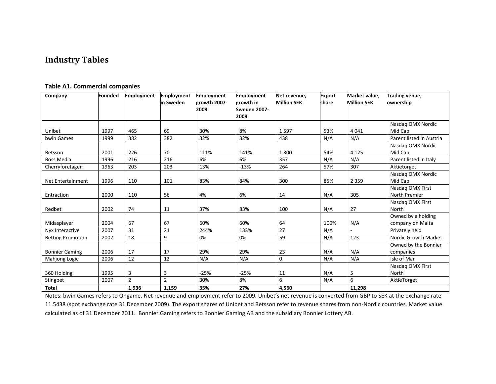# **Industry Tables**

<span id="page-44-0"></span>

| Company                  | <b>Founded</b> | <b>Employment</b> | <b>Employment</b> | <b>Employment</b> | <b>Employment</b>   | Net revenue,       | <b>Export</b> | Market value.      | Trading venue,           |
|--------------------------|----------------|-------------------|-------------------|-------------------|---------------------|--------------------|---------------|--------------------|--------------------------|
|                          |                |                   | in Sweden         | growth 2007-      | growth in           | <b>Million SEK</b> | share         | <b>Million SEK</b> | ownership                |
|                          |                |                   |                   | 2009              | <b>Sweden 2007-</b> |                    |               |                    |                          |
|                          |                |                   |                   |                   | 2009                |                    |               |                    |                          |
|                          |                |                   |                   |                   |                     |                    |               |                    | Nasdaq OMX Nordic        |
| Unibet                   | 1997           | 465               | 69                | 30%               | 8%                  | 1597               | 53%           | 4 0 4 1            | Mid Cap                  |
| bwin Games               | 1999           | 382               | 382               | 32%               | 32%                 | 438                | N/A           | N/A                | Parent listed in Austria |
|                          |                |                   |                   |                   |                     |                    |               |                    | Nasdag OMX Nordic        |
| Betsson                  | 2001           | 226               | 70                | 111%              | 141%                | 1 3 0 0            | 54%           | 4 1 2 5            | Mid Cap                  |
| <b>Boss Media</b>        | 1996           | 216               | 216               | 6%                | 6%                  | 357                | N/A           | N/A                | Parent listed in Italy   |
| Cherryföretagen          | 1963           | 203               | 203               | 13%               | $-13%$              | 264                | 57%           | 307                | Aktietorget              |
|                          |                |                   |                   |                   |                     |                    |               |                    | Nasdaq OMX Nordic        |
| Net Entertainment        | 1996           | 110               | 101               | 83%               | 84%                 | 300                | 85%           | 2 3 5 9            | Mid Cap                  |
|                          |                |                   |                   |                   |                     |                    |               |                    | Nasdag OMX First         |
| Entraction               | 2000           | 110               | 56                | 4%                | 6%                  | 14                 | N/A           | 305                | North Premier            |
|                          |                |                   |                   |                   |                     |                    |               |                    | Nasdag OMX First         |
| Redbet                   | 2002           | 74                | 11                | 37%               | 83%                 | 100                | N/A           | 27                 | North                    |
|                          |                |                   |                   |                   |                     |                    |               |                    | Owned by a holding       |
| Midasplayer              | 2004           | 67                | 67                | 60%               | 60%                 | 64                 | 100%          | N/A                | company on Malta         |
| Nyx Interactive          | 2007           | 31                | 21                | 244%              | 133%                | 27                 | N/A           |                    | Privately held           |
| <b>Betting Promotion</b> | 2002           | 18                | 9                 | 0%                | 0%                  | 59                 | N/A           | 123                | Nordic Growth Market     |
|                          |                |                   |                   |                   |                     |                    |               |                    | Owned by the Bonnier     |
| <b>Bonnier Gaming</b>    | 2006           | 17                | 17                | 29%               | 29%                 | 23                 | N/A           | N/A                | companies                |
| Mahjong Logic            | 2006           | 12                | 12                | N/A               | N/A                 | 0                  | N/A           | N/A                | Isle of Man              |
|                          |                |                   |                   |                   |                     |                    |               |                    | Nasdag OMX First         |
| 360 Holding              | 1995           | 3                 | 3                 | $-25%$            | $-25%$              | 11                 | N/A           | 5                  | North                    |
| Stingbet                 | 2007           | $\overline{2}$    | $\overline{2}$    | 30%               | 8%                  | 6                  | N/A           | 6                  | AktieTorget              |
| <b>Total</b>             |                | 1,936             | 1,159             | 35%               | 27%                 | 4,560              |               | 11,298             |                          |

#### **Table A1. Commercial companies**

Notes: bwin Games refers to Ongame. Net revenue and employment refer to 2009. Unibet's net revenue is converted from GBP to SEK at the exchange rate 11.5438 (spot exchange rate 31 December 2009). The export shares of Unibet and Betsson refer to revenue shares from non-Nordic countries. Market value calculated as of 31 December 2011. Bonnier Gaming refers to Bonnier Gaming AB and the subsidiary Bonnier Lottery AB.